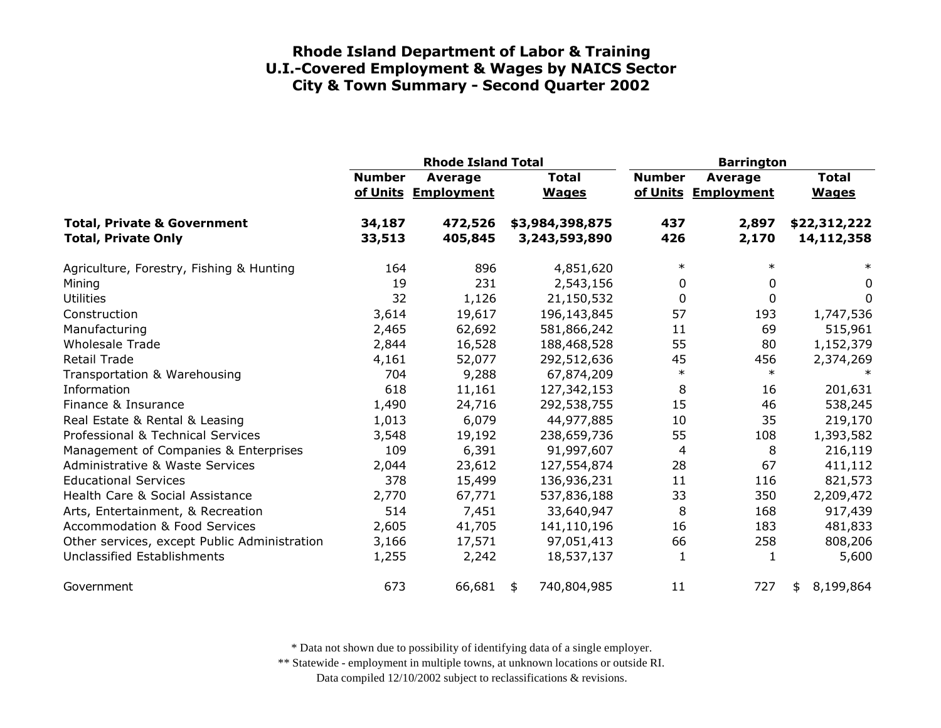|                                                                      |                  | <b>Rhode Island Total</b>      |                                  | <b>Barrington</b> |                                       |                              |
|----------------------------------------------------------------------|------------------|--------------------------------|----------------------------------|-------------------|---------------------------------------|------------------------------|
|                                                                      | <b>Number</b>    | Average<br>of Units Employment | <b>Total</b><br><b>Wages</b>     | <b>Number</b>     | <b>Average</b><br>of Units Employment | <b>Total</b><br><b>Wages</b> |
| <b>Total, Private &amp; Government</b><br><b>Total, Private Only</b> | 34,187<br>33,513 | 472,526<br>405,845             | \$3,984,398,875<br>3,243,593,890 | 437<br>426        | 2,897<br>2,170                        | \$22,312,222<br>14,112,358   |
| Agriculture, Forestry, Fishing & Hunting                             | 164              | 896                            | 4,851,620                        | $\ast$            | $\ast$                                | $\ast$                       |
| Mining                                                               | 19               | 231                            | 2,543,156                        | 0                 | 0                                     | 0                            |
| <b>Utilities</b>                                                     | 32               | 1,126                          | 21,150,532                       | 0                 | 0                                     | 0                            |
| Construction                                                         | 3,614            | 19,617                         | 196,143,845                      | 57                | 193                                   | 1,747,536                    |
| Manufacturing                                                        | 2,465            | 62,692                         | 581,866,242                      | 11                | 69                                    | 515,961                      |
| <b>Wholesale Trade</b>                                               | 2,844            | 16,528                         | 188,468,528                      | 55                | 80                                    | 1,152,379                    |
| <b>Retail Trade</b>                                                  | 4,161            | 52,077                         | 292,512,636                      | 45                | 456                                   | 2,374,269                    |
| Transportation & Warehousing                                         | 704              | 9,288                          | 67,874,209                       | $\ast$            | $\ast$                                |                              |
| Information                                                          | 618              | 11,161                         | 127,342,153                      | 8                 | 16                                    | 201,631                      |
| Finance & Insurance                                                  | 1,490            | 24,716                         | 292,538,755                      | 15                | 46                                    | 538,245                      |
| Real Estate & Rental & Leasing                                       | 1,013            | 6,079                          | 44,977,885                       | 10                | 35                                    | 219,170                      |
| Professional & Technical Services                                    | 3,548            | 19,192                         | 238,659,736                      | 55                | 108                                   | 1,393,582                    |
| Management of Companies & Enterprises                                | 109              | 6,391                          | 91,997,607                       | 4                 | 8                                     | 216,119                      |
| <b>Administrative &amp; Waste Services</b>                           | 2,044            | 23,612                         | 127,554,874                      | 28                | 67                                    | 411,112                      |
| <b>Educational Services</b>                                          | 378              | 15,499                         | 136,936,231                      | 11                | 116                                   | 821,573                      |
| Health Care & Social Assistance                                      | 2,770            | 67,771                         | 537,836,188                      | 33                | 350                                   | 2,209,472                    |
| Arts, Entertainment, & Recreation                                    | 514              | 7,451                          | 33,640,947                       | 8                 | 168                                   | 917,439                      |
| <b>Accommodation &amp; Food Services</b>                             | 2,605            | 41,705                         | 141,110,196                      | 16                | 183                                   | 481,833                      |
| Other services, except Public Administration                         | 3,166            | 17,571                         | 97,051,413                       | 66                | 258                                   | 808,206                      |
| Unclassified Establishments                                          | 1,255            | 2,242                          | 18,537,137                       | 1                 | 1                                     | 5,600                        |
| Government                                                           | 673              | 66,681                         | 740,804,985<br>\$                | 11                | 727                                   | 8,199,864<br>\$              |

\* Data not shown due to possibility of identifying data of a single employer.

\*\* Statewide - employment in multiple towns, at unknown locations or outside RI.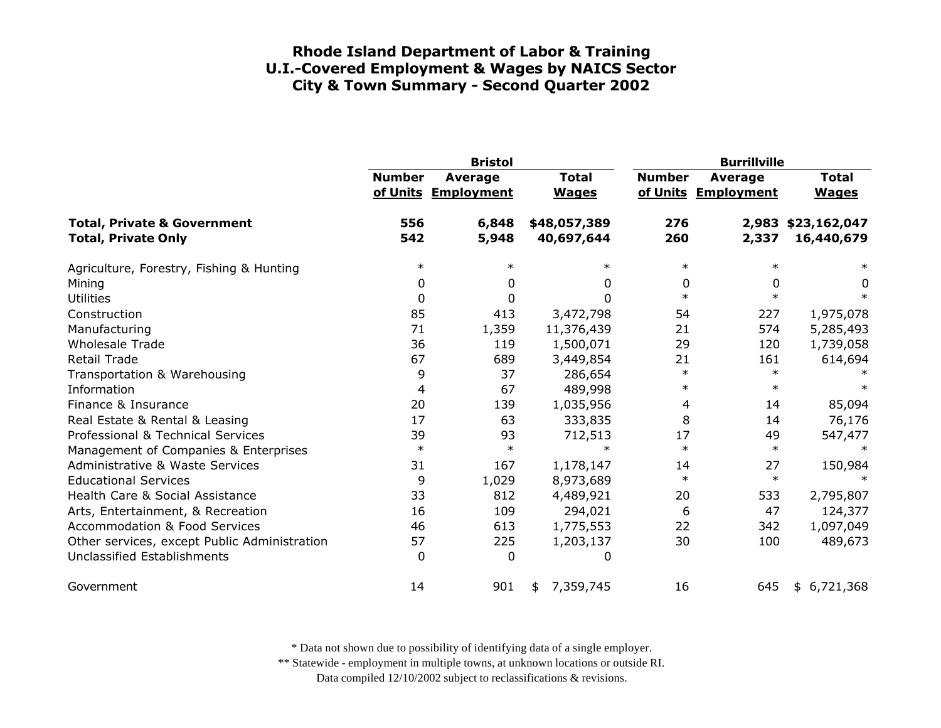|                                                                      | <b>Bristol</b> |                                |                              | <b>Burrillville</b> |                                       |                                  |
|----------------------------------------------------------------------|----------------|--------------------------------|------------------------------|---------------------|---------------------------------------|----------------------------------|
|                                                                      | <b>Number</b>  | Average<br>of Units Employment | <b>Total</b><br><b>Wages</b> | <b>Number</b>       | <b>Average</b><br>of Units Employment | <b>Total</b><br><b>Wages</b>     |
| <b>Total, Private &amp; Government</b><br><b>Total, Private Only</b> | 556<br>542     | 6,848<br>5,948                 | \$48,057,389<br>40,697,644   | 276<br>260          | 2,337                                 | 2,983 \$23,162,047<br>16,440,679 |
| Agriculture, Forestry, Fishing & Hunting                             | $\ast$         | $\ast$                         | $\ast$                       | $\ast$              | $\ast$                                | $\ast$                           |
| Mining                                                               | 0              | 0                              | 0                            | 0                   | 0                                     | 0                                |
| <b>Utilities</b>                                                     | 0              | 0                              | $\Omega$                     | $\ast$              | $\ast$                                | $\ast$                           |
| Construction                                                         | 85             | 413                            | 3,472,798                    | 54                  | 227                                   | 1,975,078                        |
| Manufacturing                                                        | 71             | 1,359                          | 11,376,439                   | 21                  | 574                                   | 5,285,493                        |
| <b>Wholesale Trade</b>                                               | 36             | 119                            | 1,500,071                    | 29                  | 120                                   | 1,739,058                        |
| <b>Retail Trade</b>                                                  | 67             | 689                            | 3,449,854                    | 21                  | 161                                   | 614,694                          |
| Transportation & Warehousing                                         | 9              | 37                             | 286,654                      | $\ast$              | $\ast$                                |                                  |
| Information                                                          | 4              | 67                             | 489,998                      | $\ast$              | $\ast$                                |                                  |
| Finance & Insurance                                                  | 20             | 139                            | 1,035,956                    | 4                   | 14                                    | 85,094                           |
| Real Estate & Rental & Leasing                                       | 17             | 63                             | 333,835                      | 8                   | 14                                    | 76,176                           |
| Professional & Technical Services                                    | 39             | 93                             | 712,513                      | 17                  | 49                                    | 547,477                          |
| Management of Companies & Enterprises                                | $\ast$         | $\ast$                         | $\ast$                       | $\ast$              | $\ast$                                | $\ast$                           |
| <b>Administrative &amp; Waste Services</b>                           | 31             | 167                            | 1,178,147                    | 14                  | 27                                    | 150,984                          |
| <b>Educational Services</b>                                          | 9              | 1,029                          | 8,973,689                    | $\ast$              | $\ast$                                |                                  |
| Health Care & Social Assistance                                      | 33             | 812                            | 4,489,921                    | 20                  | 533                                   | 2,795,807                        |
| Arts, Entertainment, & Recreation                                    | 16             | 109                            | 294,021                      | 6                   | 47                                    | 124,377                          |
| <b>Accommodation &amp; Food Services</b>                             | 46             | 613                            | 1,775,553                    | 22                  | 342                                   | 1,097,049                        |
| Other services, except Public Administration                         | 57             | 225                            | 1,203,137                    | 30                  | 100                                   | 489,673                          |
| Unclassified Establishments                                          | $\Omega$       | $\mathbf{0}$                   | 0                            |                     |                                       |                                  |
| Government                                                           | 14             | 901                            | 7,359,745<br>\$              | 16                  | 645                                   | \$6,721,368                      |

\* Data not shown due to possibility of identifying data of a single employer.

\*\* Statewide - employment in multiple towns, at unknown locations or outside RI.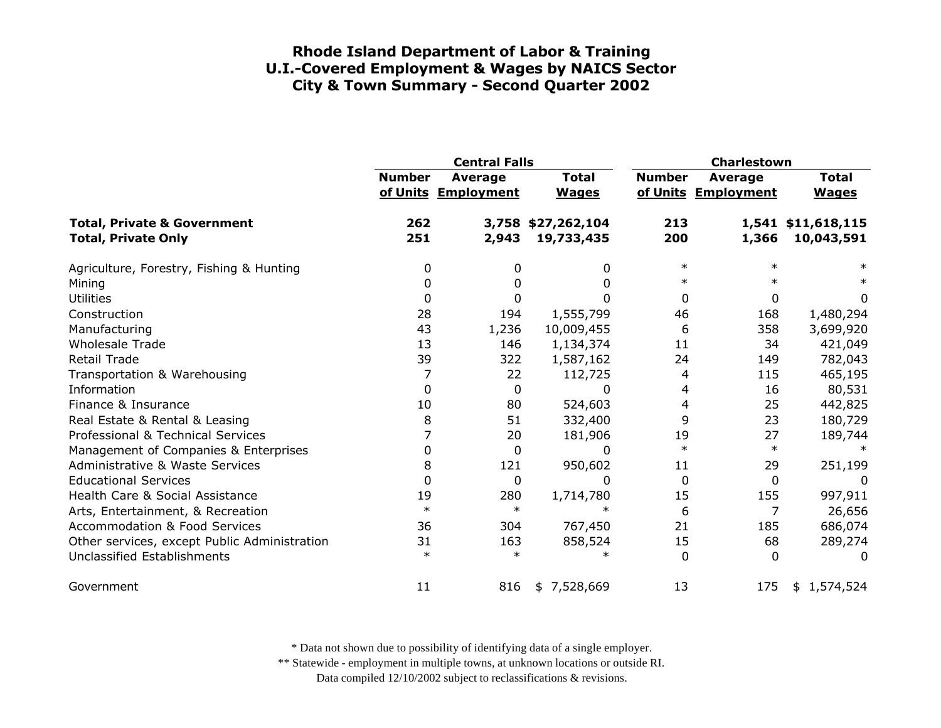|                                                                      |               | <b>Central Falls</b>           |                                  | Charlestown   |                                |                                  |
|----------------------------------------------------------------------|---------------|--------------------------------|----------------------------------|---------------|--------------------------------|----------------------------------|
|                                                                      | <b>Number</b> | Average<br>of Units Employment | <b>Total</b><br><b>Wages</b>     | <b>Number</b> | Average<br>of Units Employment | <b>Total</b><br><b>Wages</b>     |
| <b>Total, Private &amp; Government</b><br><b>Total, Private Only</b> | 262<br>251    | 2,943                          | 3,758 \$27,262,104<br>19,733,435 | 213<br>200    | 1,366                          | 1,541 \$11,618,115<br>10,043,591 |
| Agriculture, Forestry, Fishing & Hunting                             | 0             | 0                              | 0                                | $\ast$        |                                |                                  |
| Mining                                                               | O             |                                | 0                                | $\ast$        |                                |                                  |
| <b>Utilities</b>                                                     | 0             | 0                              | 0                                | 0             | $\mathbf{0}$                   | 0                                |
| Construction                                                         | 28            | 194                            | 1,555,799                        | 46            | 168                            | 1,480,294                        |
| Manufacturing                                                        | 43            | 1,236                          | 10,009,455                       | 6             | 358                            | 3,699,920                        |
| <b>Wholesale Trade</b>                                               | 13            | 146                            | 1,134,374                        | 11            | 34                             | 421,049                          |
| <b>Retail Trade</b>                                                  | 39            | 322                            | 1,587,162                        | 24            | 149                            | 782,043                          |
| Transportation & Warehousing                                         | 7             | 22                             | 112,725                          | 4             | 115                            | 465,195                          |
| Information                                                          | 0             | 0                              | 0                                | 4             | 16                             | 80,531                           |
| Finance & Insurance                                                  | 10            | 80                             | 524,603                          | 4             | 25                             | 442,825                          |
| Real Estate & Rental & Leasing                                       | 8             | 51                             | 332,400                          | 9             | 23                             | 180,729                          |
| Professional & Technical Services                                    | 7             | 20                             | 181,906                          | 19            | 27                             | 189,744                          |
| Management of Companies & Enterprises                                | 0             | $\mathbf 0$                    | 0                                | $\ast$        | $\ast$                         |                                  |
| <b>Administrative &amp; Waste Services</b>                           | 8             | 121                            | 950,602                          | 11            | 29                             | 251,199                          |
| <b>Educational Services</b>                                          | 0             | 0                              | 0                                | 0             | 0                              | 0                                |
| Health Care & Social Assistance                                      | 19            | 280                            | 1,714,780                        | 15            | 155                            | 997,911                          |
| Arts, Entertainment, & Recreation                                    | $\ast$        | $\ast$                         | $\ast$                           | 6             | 7                              | 26,656                           |
| <b>Accommodation &amp; Food Services</b>                             | 36            | 304                            | 767,450                          | 21            | 185                            | 686,074                          |
| Other services, except Public Administration                         | 31            | 163                            | 858,524                          | 15            | 68                             | 289,274                          |
| <b>Unclassified Establishments</b>                                   | $\ast$        | $\ast$                         | ж                                | $\Omega$      | $\Omega$                       | $\Omega$                         |
| Government                                                           | 11            | 816                            | \$7,528,669                      | 13            | 175                            | \$1,574,524                      |

\* Data not shown due to possibility of identifying data of a single employer.

\*\* Statewide - employment in multiple towns, at unknown locations or outside RI.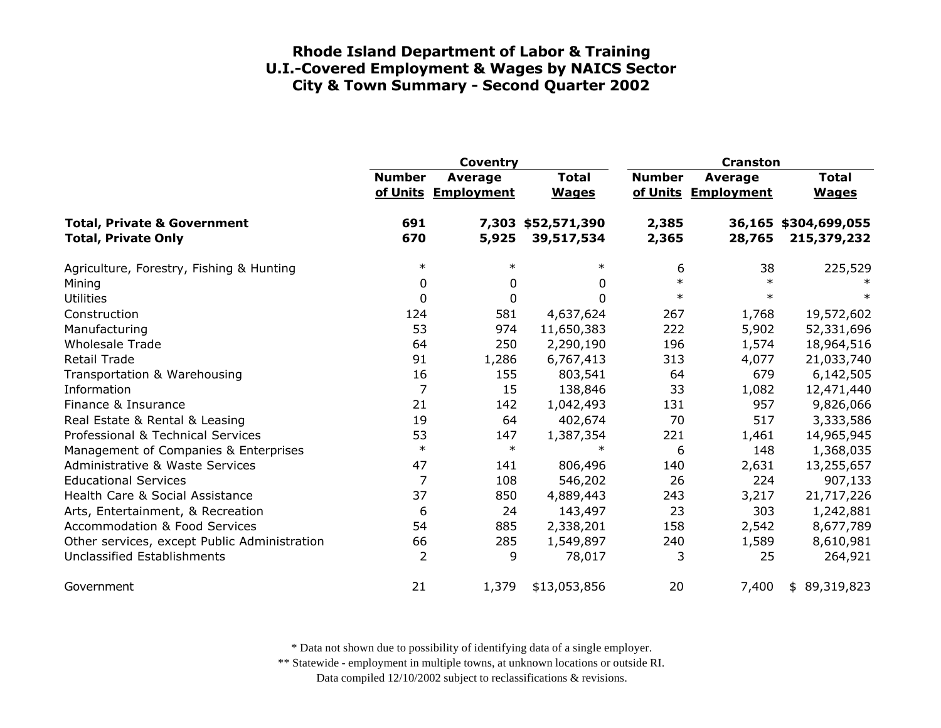|                                                                      | Coventry       |                                |                              | <b>Cranston</b> |                                |                                     |
|----------------------------------------------------------------------|----------------|--------------------------------|------------------------------|-----------------|--------------------------------|-------------------------------------|
|                                                                      | <b>Number</b>  | Average<br>of Units Employment | <b>Total</b><br><b>Wages</b> | <b>Number</b>   | Average<br>of Units Employment | <b>Total</b><br><b>Wages</b>        |
| <b>Total, Private &amp; Government</b><br><b>Total, Private Only</b> | 691<br>670     | 7,303<br>5,925                 | \$52,571,390<br>39,517,534   | 2,385<br>2,365  | 28,765                         | 36,165 \$304,699,055<br>215,379,232 |
| Agriculture, Forestry, Fishing & Hunting                             | $\ast$         | $\ast$                         | $\ast$                       | 6               | 38                             | 225,529                             |
| Mining                                                               | 0              | 0                              | 0                            | $\ast$          | $\ast$                         |                                     |
| <b>Utilities</b>                                                     | 0              | $\mathbf 0$                    | $\Omega$                     | $\ast$          | $\ast$                         | $\ast$                              |
| Construction                                                         | 124            | 581                            | 4,637,624                    | 267             | 1,768                          | 19,572,602                          |
| Manufacturing                                                        | 53             | 974                            | 11,650,383                   | 222             | 5,902                          | 52,331,696                          |
| <b>Wholesale Trade</b>                                               | 64             | 250                            | 2,290,190                    | 196             | 1,574                          | 18,964,516                          |
| <b>Retail Trade</b>                                                  | 91             | 1,286                          | 6,767,413                    | 313             | 4,077                          | 21,033,740                          |
| Transportation & Warehousing                                         | 16             | 155                            | 803,541                      | 64              | 679                            | 6,142,505                           |
| Information                                                          | 7              | 15                             | 138,846                      | 33              | 1,082                          | 12,471,440                          |
| Finance & Insurance                                                  | 21             | 142                            | 1,042,493                    | 131             | 957                            | 9,826,066                           |
| Real Estate & Rental & Leasing                                       | 19             | 64                             | 402,674                      | 70              | 517                            | 3,333,586                           |
| Professional & Technical Services                                    | 53             | 147                            | 1,387,354                    | 221             | 1,461                          | 14,965,945                          |
| Management of Companies & Enterprises                                | $\ast$         | $\ast$                         | $\ast$                       | 6               | 148                            | 1,368,035                           |
| Administrative & Waste Services                                      | 47             | 141                            | 806,496                      | 140             | 2,631                          | 13,255,657                          |
| <b>Educational Services</b>                                          | 7              | 108                            | 546,202                      | 26              | 224                            | 907,133                             |
| Health Care & Social Assistance                                      | 37             | 850                            | 4,889,443                    | 243             | 3,217                          | 21,717,226                          |
| Arts, Entertainment, & Recreation                                    | 6              | 24                             | 143,497                      | 23              | 303                            | 1,242,881                           |
| <b>Accommodation &amp; Food Services</b>                             | 54             | 885                            | 2,338,201                    | 158             | 2,542                          | 8,677,789                           |
| Other services, except Public Administration                         | 66             | 285                            | 1,549,897                    | 240             | 1,589                          | 8,610,981                           |
| Unclassified Establishments                                          | $\overline{2}$ | 9                              | 78,017                       | 3               | 25                             | 264,921                             |
| Government                                                           | 21             | 1,379                          | \$13,053,856                 | 20              | 7,400                          | \$89,319,823                        |

\* Data not shown due to possibility of identifying data of a single employer.

\*\* Statewide - employment in multiple towns, at unknown locations or outside RI.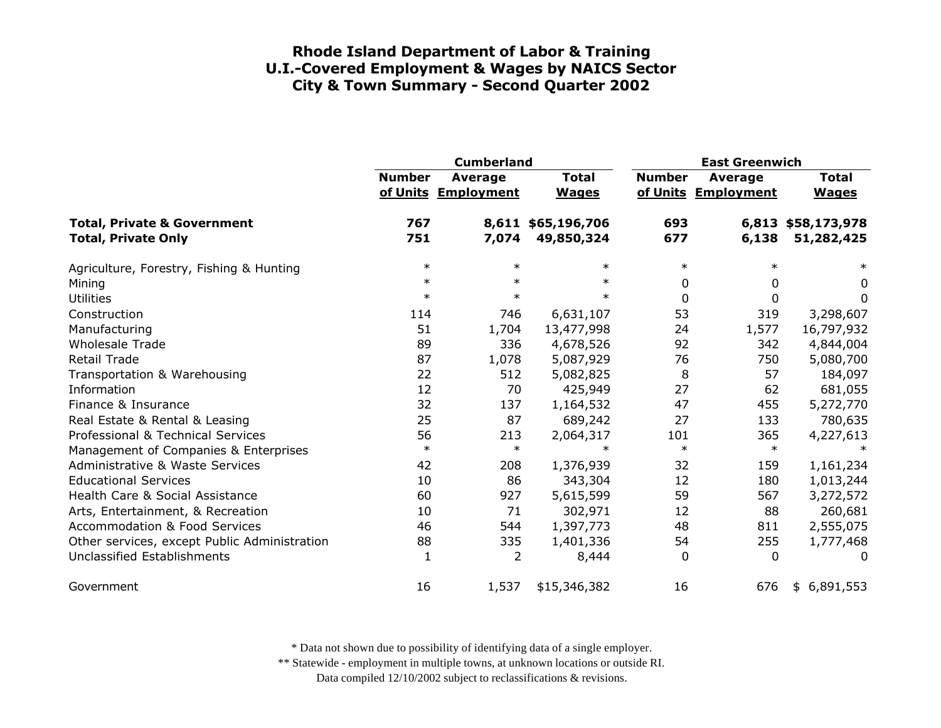|                                                                      | <b>Cumberland</b> |                                |                                  | <b>East Greenwich</b> |                                |                                  |
|----------------------------------------------------------------------|-------------------|--------------------------------|----------------------------------|-----------------------|--------------------------------|----------------------------------|
|                                                                      | <b>Number</b>     | Average<br>of Units Employment | <b>Total</b><br><b>Wages</b>     | <b>Number</b>         | Average<br>of Units Employment | <b>Total</b><br><b>Wages</b>     |
| <b>Total, Private &amp; Government</b><br><b>Total, Private Only</b> | 767<br>751        | 7,074                          | 8,611 \$65,196,706<br>49,850,324 | 693<br>677            | 6,138                          | 6,813 \$58,173,978<br>51,282,425 |
| Agriculture, Forestry, Fishing & Hunting                             | $\ast$            | $\ast$                         | $\ast$                           | $\ast$                | $\ast$                         | $\ast$                           |
| Mining                                                               | $\ast$            | $\ast$                         | $\ast$                           | 0                     | 0                              | 0                                |
| <b>Utilities</b>                                                     | $\ast$            | $\ast$                         | $\ast$                           | $\mathbf 0$           | 0                              | 0                                |
| Construction                                                         | 114               | 746                            | 6,631,107                        | 53                    | 319                            | 3,298,607                        |
| Manufacturing                                                        | 51                | 1,704                          | 13,477,998                       | 24                    | 1,577                          | 16,797,932                       |
| <b>Wholesale Trade</b>                                               | 89                | 336                            | 4,678,526                        | 92                    | 342                            | 4,844,004                        |
| <b>Retail Trade</b>                                                  | 87                | 1,078                          | 5,087,929                        | 76                    | 750                            | 5,080,700                        |
| Transportation & Warehousing                                         | 22                | 512                            | 5,082,825                        | 8                     | 57                             | 184,097                          |
| Information                                                          | 12                | 70                             | 425,949                          | 27                    | 62                             | 681,055                          |
| Finance & Insurance                                                  | 32                | 137                            | 1,164,532                        | 47                    | 455                            | 5,272,770                        |
| Real Estate & Rental & Leasing                                       | 25                | 87                             | 689,242                          | 27                    | 133                            | 780,635                          |
| Professional & Technical Services                                    | 56                | 213                            | 2,064,317                        | 101                   | 365                            | 4,227,613                        |
| Management of Companies & Enterprises                                | $\ast$            | $\ast$                         | $\ast$                           | $\ast$                | $\ast$                         | $\ast$                           |
| <b>Administrative &amp; Waste Services</b>                           | 42                | 208                            | 1,376,939                        | 32                    | 159                            | 1,161,234                        |
| <b>Educational Services</b>                                          | 10                | 86                             | 343,304                          | 12                    | 180                            | 1,013,244                        |
| Health Care & Social Assistance                                      | 60                | 927                            | 5,615,599                        | 59                    | 567                            | 3,272,572                        |
| Arts, Entertainment, & Recreation                                    | 10                | 71                             | 302,971                          | 12                    | 88                             | 260,681                          |
| <b>Accommodation &amp; Food Services</b>                             | 46                | 544                            | 1,397,773                        | 48                    | 811                            | 2,555,075                        |
| Other services, except Public Administration                         | 88                | 335                            | 1,401,336                        | 54                    | 255                            | 1,777,468                        |
| Unclassified Establishments                                          | 1                 | 2                              | 8,444                            | $\Omega$              | $\mathbf{0}$                   | $\Omega$                         |
| Government                                                           | 16                | 1,537                          | \$15,346,382                     | 16                    | 676                            | \$6,891,553                      |

\* Data not shown due to possibility of identifying data of a single employer.

\*\* Statewide - employment in multiple towns, at unknown locations or outside RI.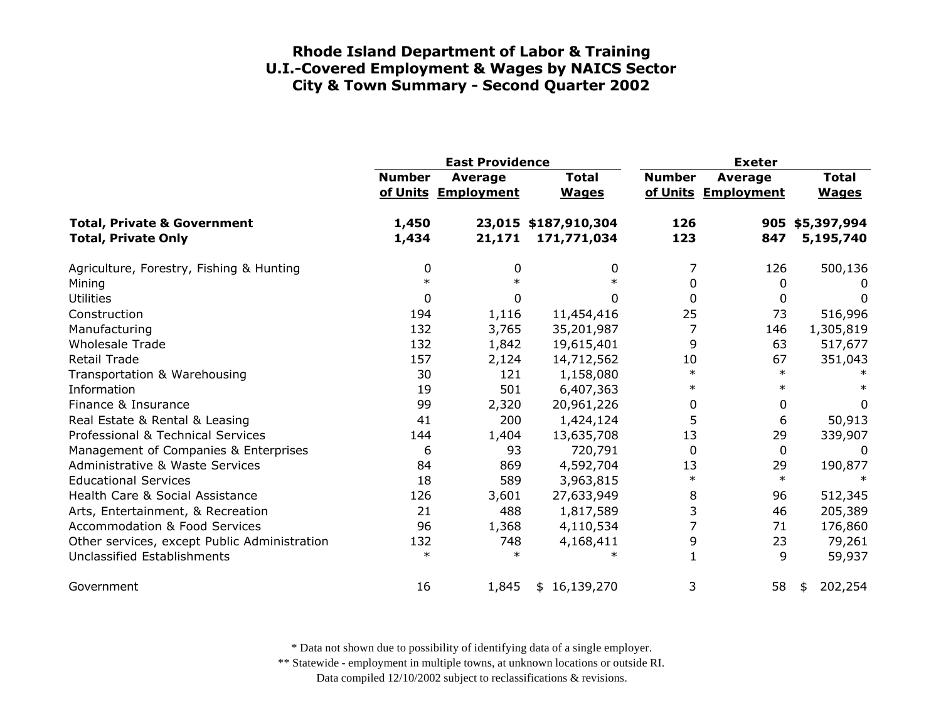|                                                                      |                | <b>East Providence</b>                |                                     | <b>Exeter</b> |                                |                              |
|----------------------------------------------------------------------|----------------|---------------------------------------|-------------------------------------|---------------|--------------------------------|------------------------------|
|                                                                      | <b>Number</b>  | <b>Average</b><br>of Units Employment | <b>Total</b><br><b>Wages</b>        | <b>Number</b> | Average<br>of Units Employment | <b>Total</b><br><b>Wages</b> |
| <b>Total, Private &amp; Government</b><br><b>Total, Private Only</b> | 1,450<br>1,434 | 21,171                                | 23,015 \$187,910,304<br>171,771,034 | 126<br>123    | 847                            | 905 \$5,397,994<br>5,195,740 |
| Agriculture, Forestry, Fishing & Hunting                             | 0              | 0                                     | 0                                   | 7             | 126                            | 500,136                      |
| Mining                                                               |                |                                       |                                     | 0             | 0                              | 0                            |
| <b>Utilities</b>                                                     | 0              | 0                                     | 0                                   | $\mathbf 0$   | 0                              | 0                            |
| Construction                                                         | 194            | 1,116                                 | 11,454,416                          | 25            | 73                             | 516,996                      |
| Manufacturing                                                        | 132            | 3,765                                 | 35,201,987                          | 7             | 146                            | 1,305,819                    |
| <b>Wholesale Trade</b>                                               | 132            | 1,842                                 | 19,615,401                          | 9             | 63                             | 517,677                      |
| <b>Retail Trade</b>                                                  | 157            | 2,124                                 | 14,712,562                          | 10            | 67                             | 351,043                      |
| Transportation & Warehousing                                         | 30             | 121                                   | 1,158,080                           | $\ast$        | $\ast$                         |                              |
| Information                                                          | 19             | 501                                   | 6,407,363                           | $\ast$        | $\ast$                         |                              |
| Finance & Insurance                                                  | 99             | 2,320                                 | 20,961,226                          | 0             | 0                              | 0                            |
| Real Estate & Rental & Leasing                                       | 41             | 200                                   | 1,424,124                           | 5             | 6                              | 50,913                       |
| Professional & Technical Services                                    | 144            | 1,404                                 | 13,635,708                          | 13            | 29                             | 339,907                      |
| Management of Companies & Enterprises                                | 6              | 93                                    | 720,791                             | $\mathbf 0$   | 0                              | 0                            |
| <b>Administrative &amp; Waste Services</b>                           | 84             | 869                                   | 4,592,704                           | 13            | 29                             | 190,877                      |
| <b>Educational Services</b>                                          | 18             | 589                                   | 3,963,815                           | $\ast$        | $\ast$                         |                              |
| Health Care & Social Assistance                                      | 126            | 3,601                                 | 27,633,949                          | 8             | 96                             | 512,345                      |
| Arts, Entertainment, & Recreation                                    | 21             | 488                                   | 1,817,589                           | 3             | 46                             | 205,389                      |
| <b>Accommodation &amp; Food Services</b>                             | 96             | 1,368                                 | 4,110,534                           |               | 71                             | 176,860                      |
| Other services, except Public Administration                         | 132            | 748                                   | 4,168,411                           | 9             | 23                             | 79,261                       |
| Unclassified Establishments                                          | $\ast$         | $\ast$                                |                                     |               | 9                              | 59,937                       |
| Government                                                           | 16             | 1,845                                 | \$16,139,270                        | 3             | 58                             | 202,254<br>\$                |

\* Data not shown due to possibility of identifying data of a single employer.

\*\* Statewide - employment in multiple towns, at unknown locations or outside RI.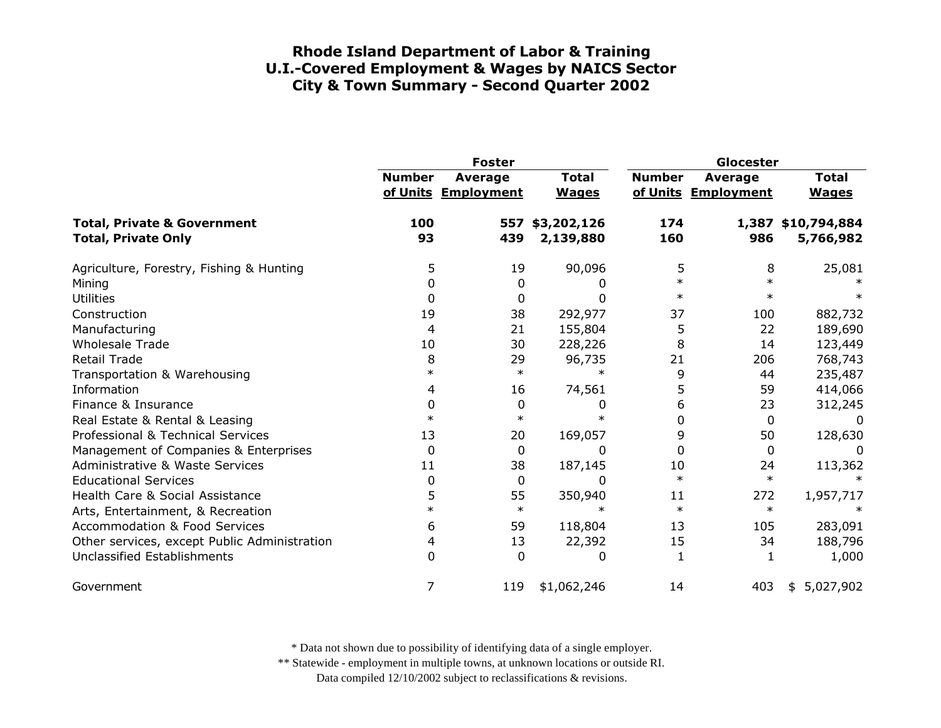|                                                                      | <b>Foster</b> |                                       |                              | Glocester     |                                       |                                 |
|----------------------------------------------------------------------|---------------|---------------------------------------|------------------------------|---------------|---------------------------------------|---------------------------------|
|                                                                      | <b>Number</b> | <b>Average</b><br>of Units Employment | <b>Total</b><br><b>Wages</b> | <b>Number</b> | <b>Average</b><br>of Units Employment | <b>Total</b><br><b>Wages</b>    |
| <b>Total, Private &amp; Government</b><br><b>Total, Private Only</b> | 100<br>93     | 557<br>439                            | \$3,202,126<br>2,139,880     | 174<br>160    | 986                                   | 1,387 \$10,794,884<br>5,766,982 |
| Agriculture, Forestry, Fishing & Hunting                             | 5             | 19                                    | 90,096                       | 5             | 8                                     | 25,081                          |
| Mining                                                               | 0             | 0                                     |                              | $\ast$        |                                       |                                 |
| <b>Utilities</b>                                                     | 0             | 0                                     |                              | $\ast$        | $\ast$                                |                                 |
| Construction                                                         | 19            | 38                                    | 292,977                      | 37            | 100                                   | 882,732                         |
| Manufacturing                                                        | 4             | 21                                    | 155,804                      | 5             | 22                                    | 189,690                         |
| <b>Wholesale Trade</b>                                               | 10            | 30                                    | 228,226                      | 8             | 14                                    | 123,449                         |
| <b>Retail Trade</b>                                                  | 8             | 29                                    | 96,735                       | 21            | 206                                   | 768,743                         |
| Transportation & Warehousing                                         | $\ast$        | $\ast$                                | $\ast$                       | 9             | 44                                    | 235,487                         |
| Information                                                          | 4             | 16                                    | 74,561                       | 5             | 59                                    | 414,066                         |
| Finance & Insurance                                                  | 0             | $\mathbf 0$                           | 0                            | 6             | 23                                    | 312,245                         |
| Real Estate & Rental & Leasing                                       | $\ast$        | $\ast$                                |                              | $\Omega$      | $\Omega$                              | 0                               |
| Professional & Technical Services                                    | 13            | 20                                    | 169,057                      | 9             | 50                                    | 128,630                         |
| Management of Companies & Enterprises                                | $\Omega$      | 0                                     | $\Omega$                     | $\Omega$      | $\Omega$                              | 0                               |
| <b>Administrative &amp; Waste Services</b>                           | 11            | 38                                    | 187,145                      | 10            | 24                                    | 113,362                         |
| <b>Educational Services</b>                                          | 0             | $\mathbf 0$                           | 0                            | $\ast$        | $\ast$                                |                                 |
| Health Care & Social Assistance                                      | 5             | 55                                    | 350,940                      | 11            | 272                                   | 1,957,717                       |
| Arts, Entertainment, & Recreation                                    | $\ast$        | $\ast$                                | $\ast$                       | $\ast$        | $\ast$                                |                                 |
| <b>Accommodation &amp; Food Services</b>                             | 6             | 59                                    | 118,804                      | 13            | 105                                   | 283,091                         |
| Other services, except Public Administration                         | 4             | 13                                    | 22,392                       | 15            | 34                                    | 188,796                         |
| Unclassified Establishments                                          | 0             | $\mathbf 0$                           | 0                            | 1             | 1                                     | 1,000                           |
| Government                                                           | 7             | 119                                   | \$1,062,246                  | 14            | 403                                   | 5,027,902<br>\$                 |

\* Data not shown due to possibility of identifying data of a single employer.

\*\* Statewide - employment in multiple towns, at unknown locations or outside RI.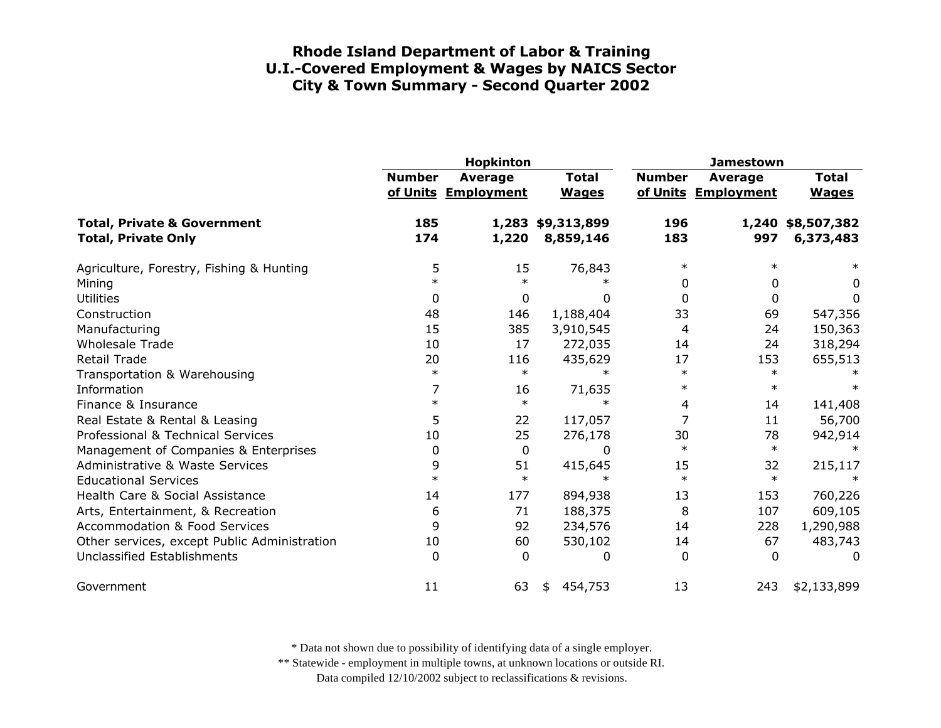|                                                                      |               | Hopkinton                             |                                | <b>Jamestown</b> |                                |                                |
|----------------------------------------------------------------------|---------------|---------------------------------------|--------------------------------|------------------|--------------------------------|--------------------------------|
|                                                                      | <b>Number</b> | <b>Average</b><br>of Units Employment | <b>Total</b><br><b>Wages</b>   | <b>Number</b>    | Average<br>of Units Employment | <b>Total</b><br><b>Wages</b>   |
| <b>Total, Private &amp; Government</b><br><b>Total, Private Only</b> | 185<br>174    | 1,220                                 | 1,283 \$9,313,899<br>8,859,146 | 196<br>183       | 997                            | 1,240 \$8,507,382<br>6,373,483 |
| Agriculture, Forestry, Fishing & Hunting                             | 5             | 15                                    | 76,843                         | $\ast$           | $\ast$                         | $\ast$                         |
| Mining                                                               | $\ast$        | $\ast$                                | ∗                              | 0                | 0                              | 0                              |
| <b>Utilities</b>                                                     | 0             | $\mathbf 0$                           | 0                              | 0                | 0                              | 0                              |
| Construction                                                         | 48            | 146                                   | 1,188,404                      | 33               | 69                             | 547,356                        |
| Manufacturing                                                        | 15            | 385                                   | 3,910,545                      | 4                | 24                             | 150,363                        |
| <b>Wholesale Trade</b>                                               | 10            | 17                                    | 272,035                        | 14               | 24                             | 318,294                        |
| <b>Retail Trade</b>                                                  | 20            | 116                                   | 435,629                        | 17               | 153                            | 655,513                        |
| Transportation & Warehousing                                         | $\ast$        | $\ast$                                | $\ast$                         | $\ast$           | $\ast$                         |                                |
| Information                                                          | 7             | 16                                    | 71,635                         | $\ast$           | $\ast$                         |                                |
| Finance & Insurance                                                  | $\ast$        | $\ast$                                | $\ast$                         | 4                | 14                             | 141,408                        |
| Real Estate & Rental & Leasing                                       | 5             | 22                                    | 117,057                        |                  | 11                             | 56,700                         |
| Professional & Technical Services                                    | 10            | 25                                    | 276,178                        | 30               | 78                             | 942,914                        |
| Management of Companies & Enterprises                                | $\mathbf 0$   | $\mathbf 0$                           | $\Omega$                       | $\ast$           | $\ast$                         | $\ast$                         |
| <b>Administrative &amp; Waste Services</b>                           | 9             | 51                                    | 415,645                        | 15               | 32                             | 215,117                        |
| <b>Educational Services</b>                                          | $\ast$        | $\ast$                                |                                | $\ast$           | $\ast$                         |                                |
| Health Care & Social Assistance                                      | 14            | 177                                   | 894,938                        | 13               | 153                            | 760,226                        |
| Arts, Entertainment, & Recreation                                    | 6             | 71                                    | 188,375                        | 8                | 107                            | 609,105                        |
| <b>Accommodation &amp; Food Services</b>                             | 9             | 92                                    | 234,576                        | 14               | 228                            | 1,290,988                      |
| Other services, except Public Administration                         | 10            | 60                                    | 530,102                        | 14               | 67                             | 483,743                        |
| Unclassified Establishments                                          | $\mathbf{0}$  | $\Omega$                              | 0                              | $\Omega$         | 0                              | 0                              |
| Government                                                           | 11            | 63                                    | 454,753<br>\$                  | 13               | 243                            | \$2,133,899                    |

\* Data not shown due to possibility of identifying data of a single employer.

\*\* Statewide - employment in multiple towns, at unknown locations or outside RI.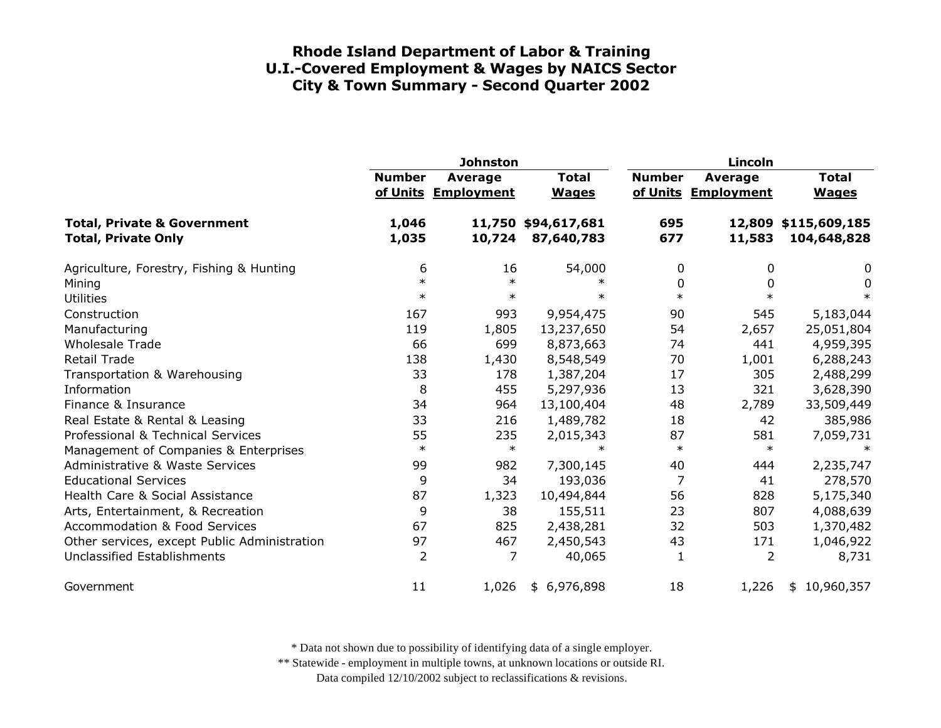|                                                                      | <b>Johnston</b> |                                |                                   |               | Lincoln                        |                                     |  |  |
|----------------------------------------------------------------------|-----------------|--------------------------------|-----------------------------------|---------------|--------------------------------|-------------------------------------|--|--|
|                                                                      | <b>Number</b>   | Average<br>of Units Employment | <b>Total</b><br><b>Wages</b>      | <b>Number</b> | Average<br>of Units Employment | <b>Total</b><br><b>Wages</b>        |  |  |
| <b>Total, Private &amp; Government</b><br><b>Total, Private Only</b> | 1,046<br>1,035  | 10,724                         | 11,750 \$94,617,681<br>87,640,783 | 695<br>677    | 11,583                         | 12,809 \$115,609,185<br>104,648,828 |  |  |
| Agriculture, Forestry, Fishing & Hunting                             | 6               | 16                             | 54,000                            | 0             | 0                              | 0                                   |  |  |
| Mining                                                               | $\ast$          | $\ast$                         | $\ast$                            | 0             | $\Omega$                       | 0                                   |  |  |
| <b>Utilities</b>                                                     | $\ast$          | $\ast$                         | $\ast$                            | $\ast$        | $\ast$                         | $\ast$                              |  |  |
| Construction                                                         | 167             | 993                            | 9,954,475                         | 90            | 545                            | 5,183,044                           |  |  |
| Manufacturing                                                        | 119             | 1,805                          | 13,237,650                        | 54            | 2,657                          | 25,051,804                          |  |  |
| <b>Wholesale Trade</b>                                               | 66              | 699                            | 8,873,663                         | 74            | 441                            | 4,959,395                           |  |  |
| <b>Retail Trade</b>                                                  | 138             | 1,430                          | 8,548,549                         | 70            | 1,001                          | 6,288,243                           |  |  |
| Transportation & Warehousing                                         | 33              | 178                            | 1,387,204                         | 17            | 305                            | 2,488,299                           |  |  |
| Information                                                          | 8               | 455                            | 5,297,936                         | 13            | 321                            | 3,628,390                           |  |  |
| Finance & Insurance                                                  | 34              | 964                            | 13,100,404                        | 48            | 2,789                          | 33,509,449                          |  |  |
| Real Estate & Rental & Leasing                                       | 33              | 216                            | 1,489,782                         | 18            | 42                             | 385,986                             |  |  |
| Professional & Technical Services                                    | 55              | 235                            | 2,015,343                         | 87            | 581                            | 7,059,731                           |  |  |
| Management of Companies & Enterprises                                | $\ast$          | $\ast$                         | $\ast$                            | $\ast$        | $\ast$                         | $\ast$                              |  |  |
| Administrative & Waste Services                                      | 99              | 982                            | 7,300,145                         | 40            | 444                            | 2,235,747                           |  |  |
| <b>Educational Services</b>                                          | 9               | 34                             | 193,036                           | 7             | 41                             | 278,570                             |  |  |
| Health Care & Social Assistance                                      | 87              | 1,323                          | 10,494,844                        | 56            | 828                            | 5,175,340                           |  |  |
| Arts, Entertainment, & Recreation                                    | 9               | 38                             | 155,511                           | 23            | 807                            | 4,088,639                           |  |  |
| <b>Accommodation &amp; Food Services</b>                             | 67              | 825                            | 2,438,281                         | 32            | 503                            | 1,370,482                           |  |  |
| Other services, except Public Administration                         | 97              | 467                            | 2,450,543                         | 43            | 171                            | 1,046,922                           |  |  |
| Unclassified Establishments                                          | $\overline{2}$  | $\overline{7}$                 | 40,065                            | 1             | $\overline{2}$                 | 8,731                               |  |  |
| Government                                                           | 11              | 1,026                          | \$6,976,898                       | 18            | 1,226                          | 10,960,357<br>\$                    |  |  |

\* Data not shown due to possibility of identifying data of a single employer.

\*\* Statewide - employment in multiple towns, at unknown locations or outside RI.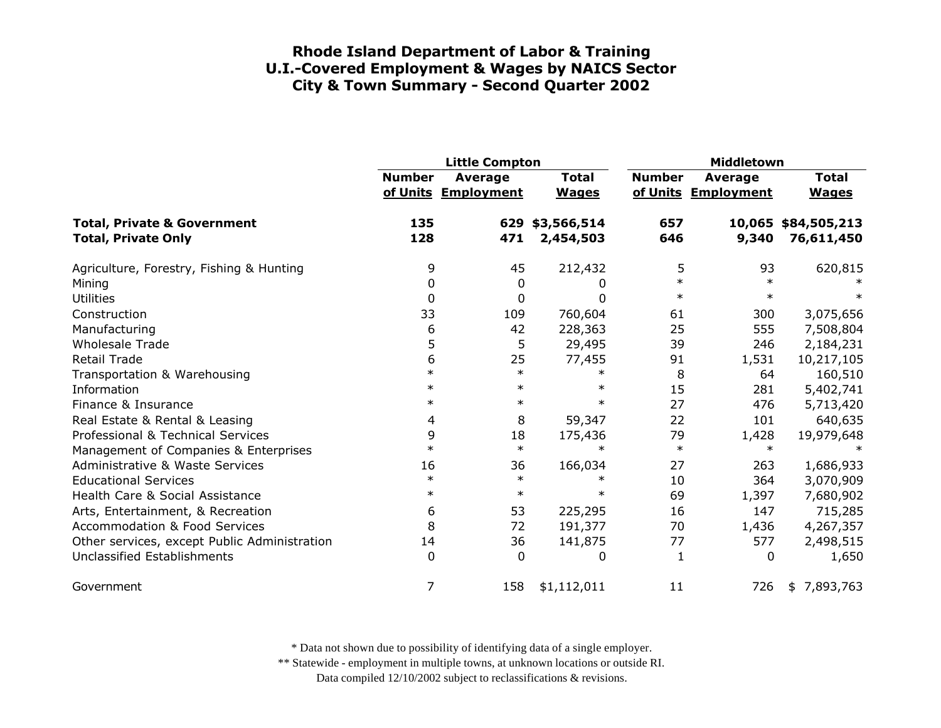|                                                                      | <b>Little Compton</b> |                                       |                              | Middletown    |                                       |                                   |
|----------------------------------------------------------------------|-----------------------|---------------------------------------|------------------------------|---------------|---------------------------------------|-----------------------------------|
|                                                                      | <b>Number</b>         | <b>Average</b><br>of Units Employment | <b>Total</b><br><b>Wages</b> | <b>Number</b> | <b>Average</b><br>of Units Employment | <b>Total</b><br><b>Wages</b>      |
| <b>Total, Private &amp; Government</b><br><b>Total, Private Only</b> | 135<br>128            | 471                                   | 629 \$3,566,514<br>2,454,503 | 657<br>646    | 9,340                                 | 10,065 \$84,505,213<br>76,611,450 |
| Agriculture, Forestry, Fishing & Hunting                             | 9                     | 45                                    | 212,432                      | 5             | 93                                    | 620,815                           |
| Mining                                                               | 0                     | $\mathbf 0$                           | 0                            | $\ast$        | $\ast$                                |                                   |
| <b>Utilities</b>                                                     | 0                     | 0                                     | 0                            | $\ast$        | $\ast$                                |                                   |
| Construction                                                         | 33                    | 109                                   | 760,604                      | 61            | 300                                   | 3,075,656                         |
| Manufacturing                                                        | 6                     | 42                                    | 228,363                      | 25            | 555                                   | 7,508,804                         |
| <b>Wholesale Trade</b>                                               | 5                     | 5                                     | 29,495                       | 39            | 246                                   | 2,184,231                         |
| <b>Retail Trade</b>                                                  | 6                     | 25                                    | 77,455                       | 91            | 1,531                                 | 10,217,105                        |
| Transportation & Warehousing                                         | $\ast$                | $\ast$                                | $\ast$                       | 8             | 64                                    | 160,510                           |
| Information                                                          | $\ast$                | $\ast$                                | $\ast$                       | 15            | 281                                   | 5,402,741                         |
| Finance & Insurance                                                  | $\ast$                | $\ast$                                | $\ast$                       | 27            | 476                                   | 5,713,420                         |
| Real Estate & Rental & Leasing                                       | 4                     | 8                                     | 59,347                       | 22            | 101                                   | 640,635                           |
| Professional & Technical Services                                    | 9                     | 18                                    | 175,436                      | 79            | 1,428                                 | 19,979,648                        |
| Management of Companies & Enterprises                                | $\ast$                | $\ast$                                | $\ast$                       | $\ast$        | $\ast$                                |                                   |
| <b>Administrative &amp; Waste Services</b>                           | 16                    | 36                                    | 166,034                      | 27            | 263                                   | 1,686,933                         |
| <b>Educational Services</b>                                          | $\ast$                | $\ast$                                | $\ast$                       | 10            | 364                                   | 3,070,909                         |
| Health Care & Social Assistance                                      | $\ast$                | $\ast$                                | $\ast$                       | 69            | 1,397                                 | 7,680,902                         |
| Arts, Entertainment, & Recreation                                    | 6                     | 53                                    | 225,295                      | 16            | 147                                   | 715,285                           |
| <b>Accommodation &amp; Food Services</b>                             | 8                     | 72                                    | 191,377                      | 70            | 1,436                                 | 4,267,357                         |
| Other services, except Public Administration                         | 14                    | 36                                    | 141,875                      | 77            | 577                                   | 2,498,515                         |
| Unclassified Establishments                                          | $\Omega$              | $\mathbf 0$                           | 0                            | 1             | 0                                     | 1,650                             |
| Government                                                           | 7                     | 158                                   | \$1,112,011                  | 11            | 726                                   | \$7,893,763                       |

\* Data not shown due to possibility of identifying data of a single employer.

\*\* Statewide - employment in multiple towns, at unknown locations or outside RI.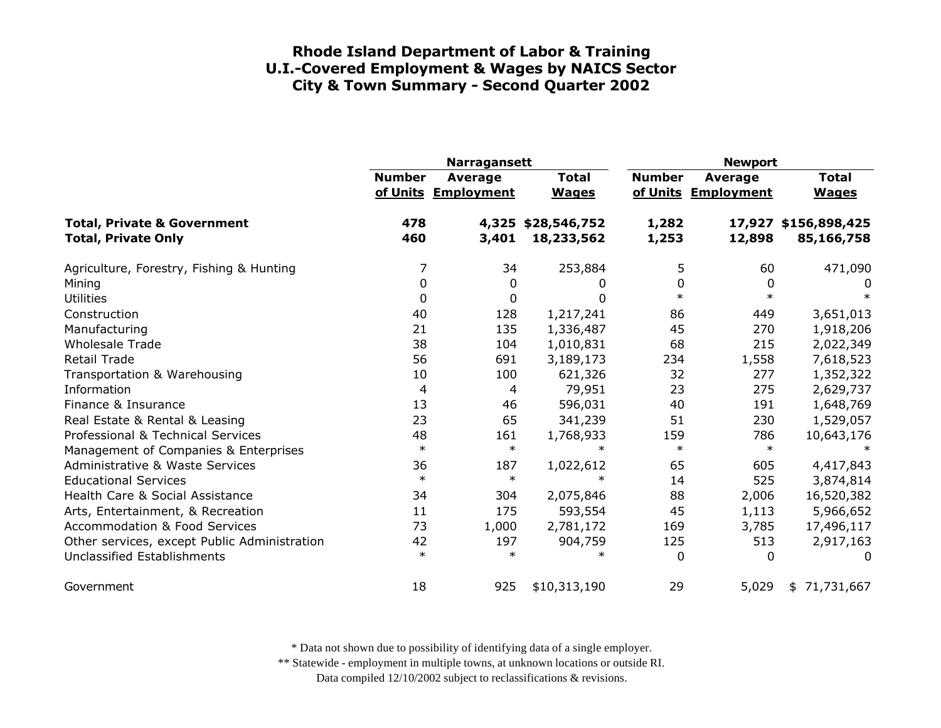|                                                                      | <b>Narragansett</b> |                                |                              | <b>Newport</b> |                                |                                    |
|----------------------------------------------------------------------|---------------------|--------------------------------|------------------------------|----------------|--------------------------------|------------------------------------|
|                                                                      | <b>Number</b>       | Average<br>of Units Employment | <b>Total</b><br><b>Wages</b> | <b>Number</b>  | Average<br>of Units Employment | <b>Total</b><br><b>Wages</b>       |
| <b>Total, Private &amp; Government</b><br><b>Total, Private Only</b> | 478<br>460          | 4,325<br>3,401                 | \$28,546,752<br>18,233,562   | 1,282<br>1,253 | 12,898                         | 17,927 \$156,898,425<br>85,166,758 |
| Agriculture, Forestry, Fishing & Hunting                             | 7                   | 34                             | 253,884                      | 5              | 60                             | 471,090                            |
| Mining                                                               | $\Omega$            | 0                              | <sup>0</sup>                 | 0              | 0                              | 0                                  |
| <b>Utilities</b>                                                     | 0                   | $\mathbf 0$                    | <sup>0</sup>                 | $\ast$         | $\ast$                         | $\ast$                             |
| Construction                                                         | 40                  | 128                            | 1,217,241                    | 86             | 449                            | 3,651,013                          |
| Manufacturing                                                        | 21                  | 135                            | 1,336,487                    | 45             | 270                            | 1,918,206                          |
| <b>Wholesale Trade</b>                                               | 38                  | 104                            | 1,010,831                    | 68             | 215                            | 2,022,349                          |
| <b>Retail Trade</b>                                                  | 56                  | 691                            | 3,189,173                    | 234            | 1,558                          | 7,618,523                          |
| Transportation & Warehousing                                         | 10                  | 100                            | 621,326                      | 32             | 277                            | 1,352,322                          |
| Information                                                          | 4                   | 4                              | 79,951                       | 23             | 275                            | 2,629,737                          |
| Finance & Insurance                                                  | 13                  | 46                             | 596,031                      | 40             | 191                            | 1,648,769                          |
| Real Estate & Rental & Leasing                                       | 23                  | 65                             | 341,239                      | 51             | 230                            | 1,529,057                          |
| Professional & Technical Services                                    | 48                  | 161                            | 1,768,933                    | 159            | 786                            | 10,643,176                         |
| Management of Companies & Enterprises                                | $\ast$              | $\ast$                         | $\ast$                       | $\ast$         | $\ast$                         | $\ast$                             |
| Administrative & Waste Services                                      | 36                  | 187                            | 1,022,612                    | 65             | 605                            | 4,417,843                          |
| <b>Educational Services</b>                                          | $\ast$              | $\ast$                         |                              | 14             | 525                            | 3,874,814                          |
| Health Care & Social Assistance                                      | 34                  | 304                            | 2,075,846                    | 88             | 2,006                          | 16,520,382                         |
| Arts, Entertainment, & Recreation                                    | 11                  | 175                            | 593,554                      | 45             | 1,113                          | 5,966,652                          |
| <b>Accommodation &amp; Food Services</b>                             | 73                  | 1,000                          | 2,781,172                    | 169            | 3,785                          | 17,496,117                         |
| Other services, except Public Administration                         | 42                  | 197                            | 904,759                      | 125            | 513                            | 2,917,163                          |
| Unclassified Establishments                                          | $\ast$              | $\ast$                         | $\ast$                       | $\Omega$       | $\Omega$                       | 0                                  |
| Government                                                           | 18                  | 925                            | \$10,313,190                 | 29             | 5,029                          | \$71,731,667                       |

\* Data not shown due to possibility of identifying data of a single employer.

\*\* Statewide - employment in multiple towns, at unknown locations or outside RI.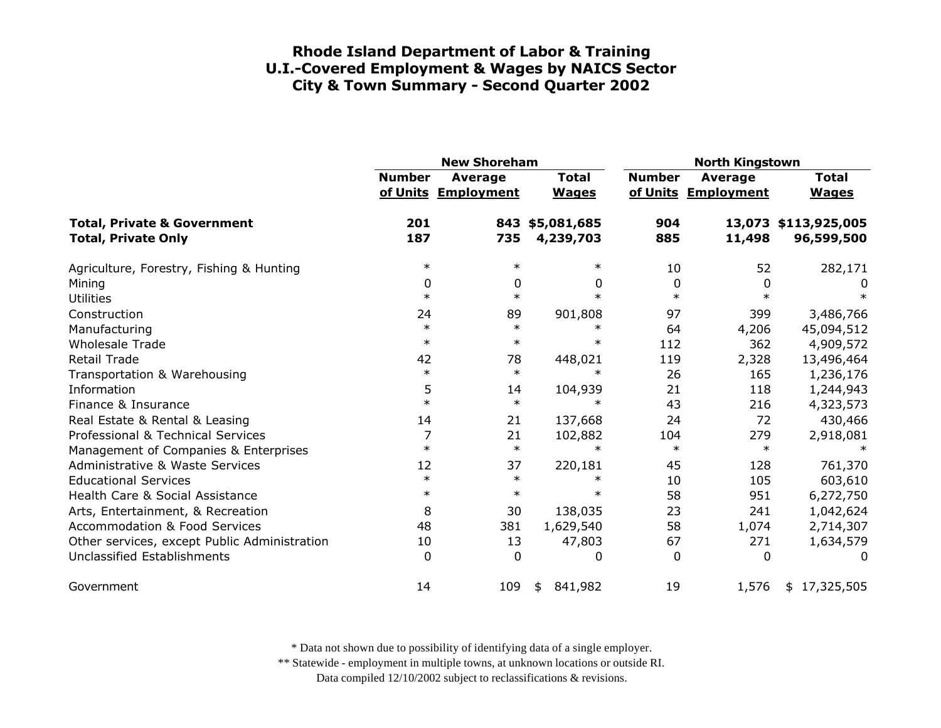|                                                                      | <b>New Shoreham</b> |                                       |                              | <b>North Kingstown</b> |                                |                                    |
|----------------------------------------------------------------------|---------------------|---------------------------------------|------------------------------|------------------------|--------------------------------|------------------------------------|
|                                                                      | <b>Number</b>       | <b>Average</b><br>of Units Employment | <b>Total</b><br><b>Wages</b> | <b>Number</b>          | Average<br>of Units Employment | <b>Total</b><br><b>Wages</b>       |
| <b>Total, Private &amp; Government</b><br><b>Total, Private Only</b> | 201<br>187          | 735                                   | 843 \$5,081,685<br>4,239,703 | 904<br>885             | 11,498                         | 13,073 \$113,925,005<br>96,599,500 |
| Agriculture, Forestry, Fishing & Hunting                             | $\ast$              | $\ast$                                | $\ast$                       | 10                     | 52                             | 282,171                            |
| Mining                                                               | 0                   | 0                                     | 0                            | 0                      | 0                              | 0                                  |
| <b>Utilities</b>                                                     | $\ast$              | $\ast$                                | $\ast$                       | $\ast$                 | $\ast$                         | $\ast$                             |
| Construction                                                         | 24                  | 89                                    | 901,808                      | 97                     | 399                            | 3,486,766                          |
| Manufacturing                                                        | $\ast$              | $\ast$                                | $\ast$                       | 64                     | 4,206                          | 45,094,512                         |
| <b>Wholesale Trade</b>                                               | $\ast$              | $\ast$                                | $\ast$                       | 112                    | 362                            | 4,909,572                          |
| <b>Retail Trade</b>                                                  | 42                  | 78                                    | 448,021                      | 119                    | 2,328                          | 13,496,464                         |
| Transportation & Warehousing                                         | $\ast$              | $\ast$                                | $\ast$                       | 26                     | 165                            | 1,236,176                          |
| Information                                                          | 5                   | 14                                    | 104,939                      | 21                     | 118                            | 1,244,943                          |
| Finance & Insurance                                                  | $\ast$              | $\ast$                                | $\ast$                       | 43                     | 216                            | 4,323,573                          |
| Real Estate & Rental & Leasing                                       | 14                  | 21                                    | 137,668                      | 24                     | 72                             | 430,466                            |
| Professional & Technical Services                                    | 7                   | 21                                    | 102,882                      | 104                    | 279                            | 2,918,081                          |
| Management of Companies & Enterprises                                | $\ast$              | $\ast$                                | $\ast$                       | $\ast$                 | $\ast$                         |                                    |
| <b>Administrative &amp; Waste Services</b>                           | 12                  | 37                                    | 220,181                      | 45                     | 128                            | 761,370                            |
| <b>Educational Services</b>                                          | $\ast$              | $\ast$                                | $\ast$                       | 10                     | 105                            | 603,610                            |
| Health Care & Social Assistance                                      | $\ast$              | $\ast$                                | $\ast$                       | 58                     | 951                            | 6,272,750                          |
| Arts, Entertainment, & Recreation                                    | 8                   | 30                                    | 138,035                      | 23                     | 241                            | 1,042,624                          |
| <b>Accommodation &amp; Food Services</b>                             | 48                  | 381                                   | 1,629,540                    | 58                     | 1,074                          | 2,714,307                          |
| Other services, except Public Administration                         | 10                  | 13                                    | 47,803                       | 67                     | 271                            | 1,634,579                          |
| <b>Unclassified Establishments</b>                                   | $\Omega$            | $\Omega$                              | 0                            | 0                      | 0                              | 0                                  |
| Government                                                           | 14                  | 109                                   | 841,982<br>\$                | 19                     | 1,576                          | 17,325,505<br>\$                   |

\* Data not shown due to possibility of identifying data of a single employer.

\*\* Statewide - employment in multiple towns, at unknown locations or outside RI.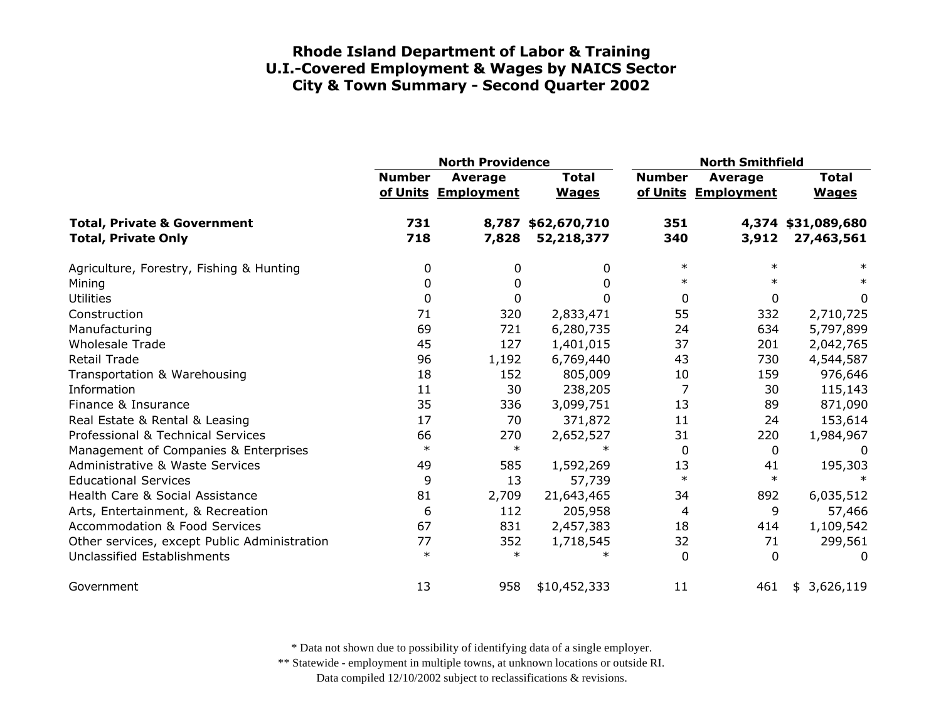|                                                                      | <b>North Providence</b> |                                |                                  | <b>North Smithfield</b> |                                |                                  |
|----------------------------------------------------------------------|-------------------------|--------------------------------|----------------------------------|-------------------------|--------------------------------|----------------------------------|
|                                                                      | <b>Number</b>           | Average<br>of Units Employment | <b>Total</b><br><b>Wages</b>     | <b>Number</b>           | Average<br>of Units Employment | <b>Total</b><br><b>Wages</b>     |
| <b>Total, Private &amp; Government</b><br><b>Total, Private Only</b> | 731<br>718              | 7,828                          | 8,787 \$62,670,710<br>52,218,377 | 351<br>340              | 3,912                          | 4,374 \$31,089,680<br>27,463,561 |
| Agriculture, Forestry, Fishing & Hunting                             | 0                       | 0                              | 0                                | $\ast$                  | $\ast$                         | ∗                                |
| Mining                                                               | 0                       | 0                              | 0                                | $\ast$                  |                                | $\ast$                           |
| <b>Utilities</b>                                                     | 0                       | $\mathbf{0}$                   | 0                                | 0                       | $\mathbf{0}$                   | 0                                |
| Construction                                                         | 71                      | 320                            | 2,833,471                        | 55                      | 332                            | 2,710,725                        |
| Manufacturing                                                        | 69                      | 721                            | 6,280,735                        | 24                      | 634                            | 5,797,899                        |
| <b>Wholesale Trade</b>                                               | 45                      | 127                            | 1,401,015                        | 37                      | 201                            | 2,042,765                        |
| <b>Retail Trade</b>                                                  | 96                      | 1,192                          | 6,769,440                        | 43                      | 730                            | 4,544,587                        |
| Transportation & Warehousing                                         | 18                      | 152                            | 805,009                          | 10                      | 159                            | 976,646                          |
| Information                                                          | 11                      | 30                             | 238,205                          | 7                       | 30                             | 115,143                          |
| Finance & Insurance                                                  | 35                      | 336                            | 3,099,751                        | 13                      | 89                             | 871,090                          |
| Real Estate & Rental & Leasing                                       | 17                      | 70                             | 371,872                          | 11                      | 24                             | 153,614                          |
| Professional & Technical Services                                    | 66                      | 270                            | 2,652,527                        | 31                      | 220                            | 1,984,967                        |
| Management of Companies & Enterprises                                | $\ast$                  | $\ast$                         | $\ast$                           | 0                       | 0                              | 0                                |
| <b>Administrative &amp; Waste Services</b>                           | 49                      | 585                            | 1,592,269                        | 13                      | 41                             | 195,303                          |
| <b>Educational Services</b>                                          | 9                       | 13                             | 57,739                           | $\ast$                  | $\ast$                         |                                  |
| Health Care & Social Assistance                                      | 81                      | 2,709                          | 21,643,465                       | 34                      | 892                            | 6,035,512                        |
| Arts, Entertainment, & Recreation                                    | 6                       | 112                            | 205,958                          | 4                       | 9                              | 57,466                           |
| <b>Accommodation &amp; Food Services</b>                             | 67                      | 831                            | 2,457,383                        | 18                      | 414                            | 1,109,542                        |
| Other services, except Public Administration                         | 77                      | 352                            | 1,718,545                        | 32                      | 71                             | 299,561                          |
| Unclassified Establishments                                          | $\ast$                  | $\ast$                         | $\ast$                           | $\Omega$                | $\Omega$                       | $\Omega$                         |
| Government                                                           | 13                      | 958                            | \$10,452,333                     | 11                      | 461                            | \$3,626,119                      |

\* Data not shown due to possibility of identifying data of a single employer.

\*\* Statewide - employment in multiple towns, at unknown locations or outside RI.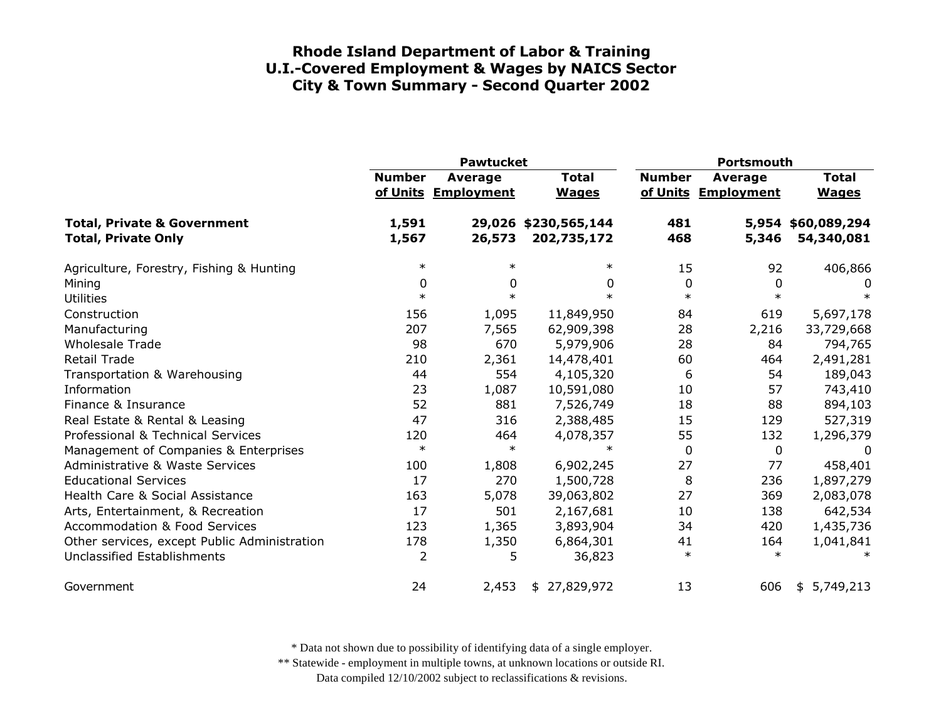|                                                                      | <b>Pawtucket</b> |                                |                                     | <b>Portsmouth</b> |                                       |                                  |
|----------------------------------------------------------------------|------------------|--------------------------------|-------------------------------------|-------------------|---------------------------------------|----------------------------------|
|                                                                      | <b>Number</b>    | Average<br>of Units Employment | <b>Total</b><br><b>Wages</b>        | <b>Number</b>     | <b>Average</b><br>of Units Employment | <b>Total</b><br><b>Wages</b>     |
| <b>Total, Private &amp; Government</b><br><b>Total, Private Only</b> | 1,591<br>1,567   | 26,573                         | 29,026 \$230,565,144<br>202,735,172 | 481<br>468        | 5,346                                 | 5,954 \$60,089,294<br>54,340,081 |
| Agriculture, Forestry, Fishing & Hunting                             | $\ast$           | $\ast$                         | $\ast$                              | 15                | 92                                    | 406,866                          |
| Mining                                                               | 0                | 0                              | 0                                   | 0                 | 0                                     | 0                                |
| <b>Utilities</b>                                                     | $\ast$           | $\ast$                         | $\ast$                              | $\ast$            | $\ast$                                | $\ast$                           |
| Construction                                                         | 156              | 1,095                          | 11,849,950                          | 84                | 619                                   | 5,697,178                        |
| Manufacturing                                                        | 207              | 7,565                          | 62,909,398                          | 28                | 2,216                                 | 33,729,668                       |
| <b>Wholesale Trade</b>                                               | 98               | 670                            | 5,979,906                           | 28                | 84                                    | 794,765                          |
| <b>Retail Trade</b>                                                  | 210              | 2,361                          | 14,478,401                          | 60                | 464                                   | 2,491,281                        |
| Transportation & Warehousing                                         | 44               | 554                            | 4,105,320                           | 6                 | 54                                    | 189,043                          |
| Information                                                          | 23               | 1,087                          | 10,591,080                          | 10                | 57                                    | 743,410                          |
| Finance & Insurance                                                  | 52               | 881                            | 7,526,749                           | 18                | 88                                    | 894,103                          |
| Real Estate & Rental & Leasing                                       | 47               | 316                            | 2,388,485                           | 15                | 129                                   | 527,319                          |
| Professional & Technical Services                                    | 120              | 464                            | 4,078,357                           | 55                | 132                                   | 1,296,379                        |
| Management of Companies & Enterprises                                | $\ast$           | $\ast$                         | $\ast$                              | 0                 | 0                                     | 0                                |
| <b>Administrative &amp; Waste Services</b>                           | 100              | 1,808                          | 6,902,245                           | 27                | 77                                    | 458,401                          |
| <b>Educational Services</b>                                          | 17               | 270                            | 1,500,728                           | 8                 | 236                                   | 1,897,279                        |
| Health Care & Social Assistance                                      | 163              | 5,078                          | 39,063,802                          | 27                | 369                                   | 2,083,078                        |
| Arts, Entertainment, & Recreation                                    | 17               | 501                            | 2,167,681                           | 10                | 138                                   | 642,534                          |
| <b>Accommodation &amp; Food Services</b>                             | 123              | 1,365                          | 3,893,904                           | 34                | 420                                   | 1,435,736                        |
| Other services, except Public Administration                         | 178              | 1,350                          | 6,864,301                           | 41                | 164                                   | 1,041,841                        |
| Unclassified Establishments                                          | $\overline{2}$   | 5                              | 36,823                              | $\ast$            | $\ast$                                | $\ast$                           |
| Government                                                           | 24               | 2,453                          | \$27,829,972                        | 13                | 606                                   | \$5,749,213                      |

\* Data not shown due to possibility of identifying data of a single employer.

\*\* Statewide - employment in multiple towns, at unknown locations or outside RI.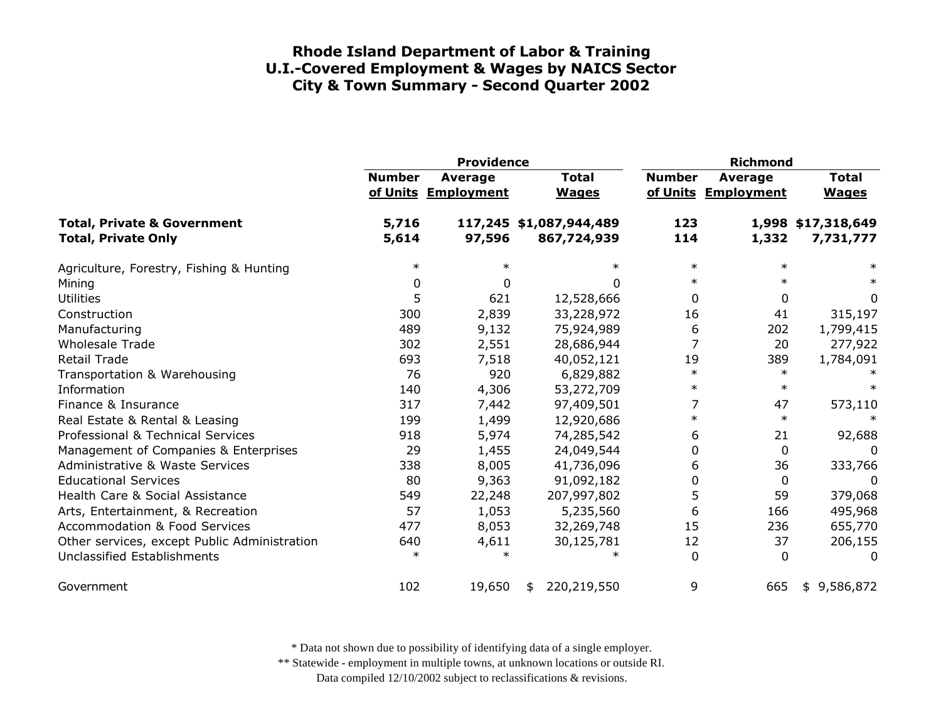|                                                                      | <b>Providence</b> |                                       |    | <b>Richmond</b>                        |               |                                       |                                 |
|----------------------------------------------------------------------|-------------------|---------------------------------------|----|----------------------------------------|---------------|---------------------------------------|---------------------------------|
|                                                                      | <b>Number</b>     | <b>Average</b><br>of Units Employment |    | <b>Total</b><br><b>Wages</b>           | <b>Number</b> | <b>Average</b><br>of Units Employment | <b>Total</b><br><b>Wages</b>    |
| <b>Total, Private &amp; Government</b><br><b>Total, Private Only</b> | 5,716<br>5,614    | 97,596                                |    | 117,245 \$1,087,944,489<br>867,724,939 | 123<br>114    | 1,332                                 | 1,998 \$17,318,649<br>7,731,777 |
| Agriculture, Forestry, Fishing & Hunting                             | $\ast$            |                                       |    | $\ast$                                 | $\ast$        | $\ast$                                | $\ast$                          |
| Mining                                                               | 0                 | <sup>0</sup>                          |    | <sup>0</sup>                           | $\ast$        | $\ast$                                | $\ast$                          |
| <b>Utilities</b>                                                     | 5                 | 621                                   |    | 12,528,666                             | 0             | 0                                     | 0                               |
| Construction                                                         | 300               | 2,839                                 |    | 33,228,972                             | 16            | 41                                    | 315,197                         |
| Manufacturing                                                        | 489               | 9,132                                 |    | 75,924,989                             | 6             | 202                                   | 1,799,415                       |
| <b>Wholesale Trade</b>                                               | 302               | 2,551                                 |    | 28,686,944                             | 7             | 20                                    | 277,922                         |
| <b>Retail Trade</b>                                                  | 693               | 7,518                                 |    | 40,052,121                             | 19            | 389                                   | 1,784,091                       |
| Transportation & Warehousing                                         | 76                | 920                                   |    | 6,829,882                              | $\ast$        | $\ast$                                |                                 |
| Information                                                          | 140               | 4,306                                 |    | 53,272,709                             | $\ast$        | $\ast$                                | $\ast$                          |
| Finance & Insurance                                                  | 317               | 7,442                                 |    | 97,409,501                             | 7             | 47                                    | 573,110                         |
| Real Estate & Rental & Leasing                                       | 199               | 1,499                                 |    | 12,920,686                             | $\ast$        | $\ast$                                |                                 |
| Professional & Technical Services                                    | 918               | 5,974                                 |    | 74,285,542                             | 6             | 21                                    | 92,688                          |
| Management of Companies & Enterprises                                | 29                | 1,455                                 |    | 24,049,544                             | 0             | 0                                     | $\Omega$                        |
| <b>Administrative &amp; Waste Services</b>                           | 338               | 8,005                                 |    | 41,736,096                             | 6             | 36                                    | 333,766                         |
| <b>Educational Services</b>                                          | 80                | 9,363                                 |    | 91,092,182                             | 0             | 0                                     | 0                               |
| Health Care & Social Assistance                                      | 549               | 22,248                                |    | 207,997,802                            | 5             | 59                                    | 379,068                         |
| Arts, Entertainment, & Recreation                                    | 57                | 1,053                                 |    | 5,235,560                              | 6             | 166                                   | 495,968                         |
| <b>Accommodation &amp; Food Services</b>                             | 477               | 8,053                                 |    | 32,269,748                             | 15            | 236                                   | 655,770                         |
| Other services, except Public Administration                         | 640               | 4,611                                 |    | 30,125,781                             | 12            | 37                                    | 206,155                         |
| <b>Unclassified Establishments</b>                                   | $\ast$            | $\ast$                                |    |                                        | $\mathbf 0$   | 0                                     | 0                               |
| Government                                                           | 102               | 19,650                                | \$ | 220,219,550                            | 9             | 665                                   | \$9,586,872                     |

\* Data not shown due to possibility of identifying data of a single employer.

\*\* Statewide - employment in multiple towns, at unknown locations or outside RI.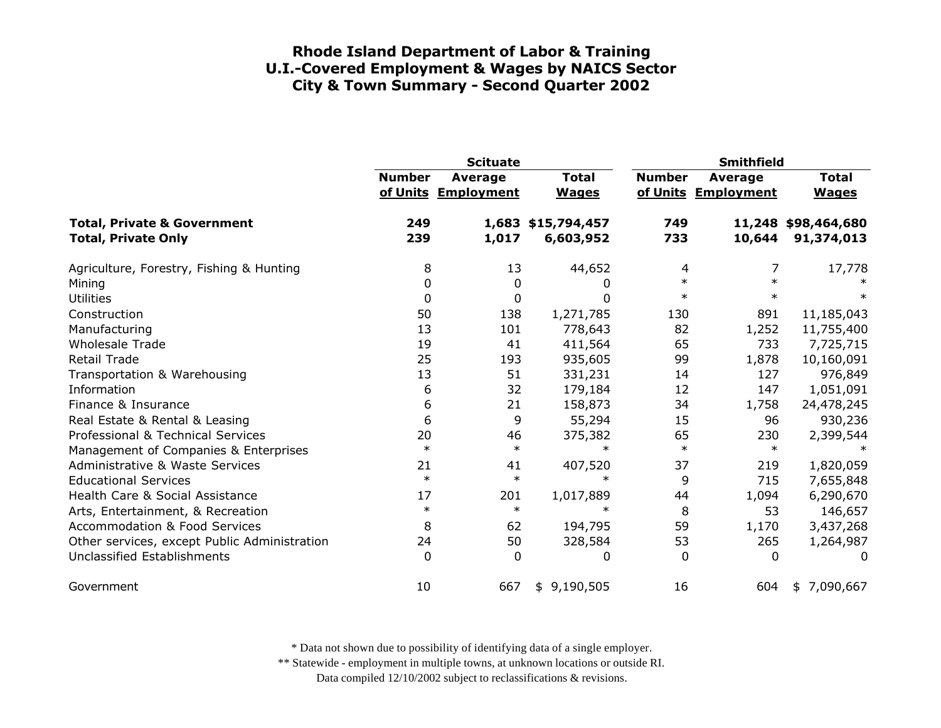|                                                                      | <b>Scituate</b> |                                       |                                 | <b>Smithfield</b> |                                |                                   |
|----------------------------------------------------------------------|-----------------|---------------------------------------|---------------------------------|-------------------|--------------------------------|-----------------------------------|
|                                                                      | <b>Number</b>   | <b>Average</b><br>of Units Employment | <b>Total</b><br><b>Wages</b>    | <b>Number</b>     | Average<br>of Units Employment | <b>Total</b><br><b>Wages</b>      |
| <b>Total, Private &amp; Government</b><br><b>Total, Private Only</b> | 249<br>239      | 1,017                                 | 1,683 \$15,794,457<br>6,603,952 | 749<br>733        | 10,644                         | 11,248 \$98,464,680<br>91,374,013 |
| Agriculture, Forestry, Fishing & Hunting                             | 8               | 13                                    | 44,652                          | 4                 | 7                              | 17,778                            |
| Mining                                                               | 0               | 0                                     | 0                               | $\ast$            |                                |                                   |
| <b>Utilities</b>                                                     | 0               | 0                                     | 0                               | $\ast$            | $\ast$                         | ∗                                 |
| Construction                                                         | 50              | 138                                   | 1,271,785                       | 130               | 891                            | 11,185,043                        |
| Manufacturing                                                        | 13              | 101                                   | 778,643                         | 82                | 1,252                          | 11,755,400                        |
| <b>Wholesale Trade</b>                                               | 19              | 41                                    | 411,564                         | 65                | 733                            | 7,725,715                         |
| <b>Retail Trade</b>                                                  | 25              | 193                                   | 935,605                         | 99                | 1,878                          | 10,160,091                        |
| Transportation & Warehousing                                         | 13              | 51                                    | 331,231                         | 14                | 127                            | 976,849                           |
| Information                                                          | 6               | 32                                    | 179,184                         | 12                | 147                            | 1,051,091                         |
| Finance & Insurance                                                  | 6               | 21                                    | 158,873                         | 34                | 1,758                          | 24,478,245                        |
| Real Estate & Rental & Leasing                                       | 6               | 9                                     | 55,294                          | 15                | 96                             | 930,236                           |
| Professional & Technical Services                                    | 20              | 46                                    | 375,382                         | 65                | 230                            | 2,399,544                         |
| Management of Companies & Enterprises                                | $\ast$          | $\ast$                                | $\ast$                          | $\ast$            | $\ast$                         |                                   |
| <b>Administrative &amp; Waste Services</b>                           | 21              | 41                                    | 407,520                         | 37                | 219                            | 1,820,059                         |
| <b>Educational Services</b>                                          | $\ast$          | $\ast$                                | $\ast$                          | 9                 | 715                            | 7,655,848                         |
| Health Care & Social Assistance                                      | 17              | 201                                   | 1,017,889                       | 44                | 1,094                          | 6,290,670                         |
| Arts, Entertainment, & Recreation                                    | $\ast$          | $\ast$                                | $\ast$                          | 8                 | 53                             | 146,657                           |
| <b>Accommodation &amp; Food Services</b>                             | 8               | 62                                    | 194,795                         | 59                | 1,170                          | 3,437,268                         |
| Other services, except Public Administration                         | 24              | 50                                    | 328,584                         | 53                | 265                            | 1,264,987                         |
| Unclassified Establishments                                          | $\Omega$        | $\Omega$                              | 0                               | 0                 | $\Omega$                       | 0                                 |
| Government                                                           | 10              | 667                                   | 9,190,505<br>\$                 | 16                | 604                            | \$7,090,667                       |

\* Data not shown due to possibility of identifying data of a single employer.

\*\* Statewide - employment in multiple towns, at unknown locations or outside RI.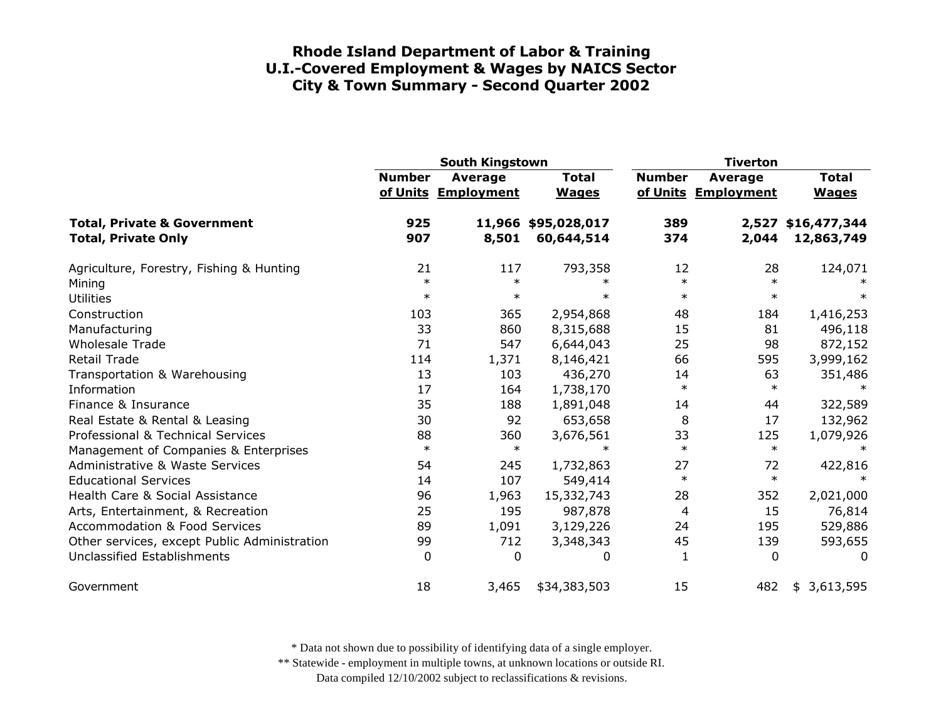|                                                                      | South Kingstown        |                                       |                                   | <b>Tiverton</b>        |                                |                                  |
|----------------------------------------------------------------------|------------------------|---------------------------------------|-----------------------------------|------------------------|--------------------------------|----------------------------------|
|                                                                      | <b>Number</b>          | <b>Average</b><br>of Units Employment | <b>Total</b><br><b>Wages</b>      | <b>Number</b>          | Average<br>of Units Employment | <b>Total</b><br><b>Wages</b>     |
| <b>Total, Private &amp; Government</b><br><b>Total, Private Only</b> | 925<br>907             | 8,501                                 | 11,966 \$95,028,017<br>60,644,514 | 389<br>374             | 2,044                          | 2,527 \$16,477,344<br>12,863,749 |
| Agriculture, Forestry, Fishing & Hunting<br>Mining                   | 21<br>$\ast$<br>$\ast$ | 117<br>$\ast$<br>$\ast$               | 793,358<br>$\ast$<br>$\ast$       | 12<br>$\ast$<br>$\ast$ | 28<br>$\ast$<br>$\ast$         | 124,071<br>$\ast$                |
| <b>Utilities</b><br>Construction<br>Manufacturing                    | 103<br>33              | 365<br>860                            | 2,954,868<br>8,315,688            | 48<br>15               | 184<br>81                      | 1,416,253<br>496,118             |
| <b>Wholesale Trade</b>                                               | 71                     | 547                                   | 6,644,043                         | 25                     | 98                             | 872,152                          |
| <b>Retail Trade</b>                                                  | 114                    | 1,371                                 | 8,146,421                         | 66                     | 595                            | 3,999,162                        |
| Transportation & Warehousing                                         | 13                     | 103                                   | 436,270                           | 14                     | 63                             | 351,486                          |
| Information                                                          | 17                     | 164                                   | 1,738,170                         | $\ast$                 | $\ast$                         | $\ast$                           |
| Finance & Insurance                                                  | 35                     | 188                                   | 1,891,048                         | 14                     | 44                             | 322,589                          |
| Real Estate & Rental & Leasing                                       | 30                     | 92                                    | 653,658                           | 8                      | 17                             | 132,962                          |
| Professional & Technical Services                                    | 88                     | 360                                   | 3,676,561                         | 33                     | 125                            | 1,079,926                        |
| Management of Companies & Enterprises                                | $\ast$                 | $\ast$                                | $\ast$                            | $\ast$                 | $\ast$                         | $\ast$                           |
| <b>Administrative &amp; Waste Services</b>                           | 54                     | 245                                   | 1,732,863                         | 27                     | 72                             | 422,816                          |
| <b>Educational Services</b>                                          | 14                     | 107                                   | 549,414                           | $\ast$                 | $\ast$                         |                                  |
| Health Care & Social Assistance                                      | 96                     | 1,963                                 | 15,332,743                        | 28                     | 352                            | 2,021,000                        |
| Arts, Entertainment, & Recreation                                    | 25                     | 195                                   | 987,878                           | 4                      | 15                             | 76,814                           |
| <b>Accommodation &amp; Food Services</b>                             | 89                     | 1,091                                 | 3,129,226                         | 24                     | 195                            | 529,886                          |
| Other services, except Public Administration                         | 99                     | 712                                   | 3,348,343                         | 45                     | 139                            | 593,655                          |
| <b>Unclassified Establishments</b>                                   | 0                      | $\Omega$                              | 0                                 | 1                      | $\mathbf{0}$                   | $\Omega$                         |
| Government                                                           | 18                     | 3,465                                 | \$34,383,503                      | 15                     | 482                            | 3,613,595<br>\$                  |

\* Data not shown due to possibility of identifying data of a single employer.

\*\* Statewide - employment in multiple towns, at unknown locations or outside RI.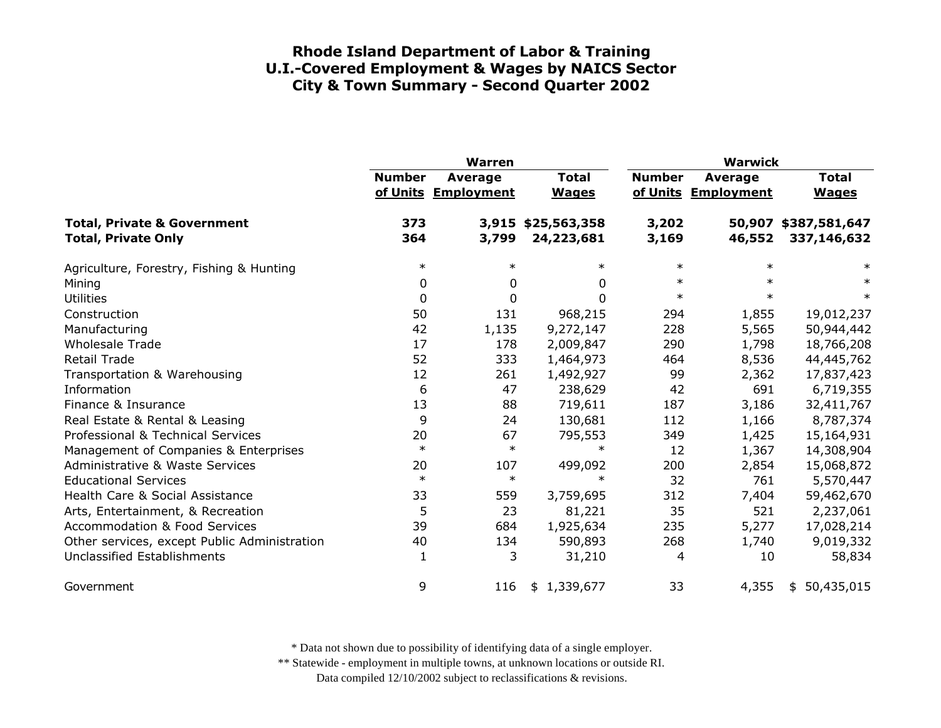|                                                                      | <b>Warren</b> |                                       |                              | <b>Warwick</b> |                                |                                     |
|----------------------------------------------------------------------|---------------|---------------------------------------|------------------------------|----------------|--------------------------------|-------------------------------------|
|                                                                      | <b>Number</b> | <b>Average</b><br>of Units Employment | <b>Total</b><br><b>Wages</b> | <b>Number</b>  | Average<br>of Units Employment | <b>Total</b><br><b>Wages</b>        |
| <b>Total, Private &amp; Government</b><br><b>Total, Private Only</b> | 373<br>364    | 3,915<br>3,799                        | \$25,563,358<br>24,223,681   | 3,202<br>3,169 | 46,552                         | 50,907 \$387,581,647<br>337,146,632 |
| Agriculture, Forestry, Fishing & Hunting                             | $\ast$        | $\ast$                                | $\ast$                       | $\ast$         | $\ast$                         | $\ast$                              |
| Mining                                                               | 0             | 0                                     | 0                            | $\ast$         | $\ast$                         | $\ast$                              |
| <b>Utilities</b>                                                     | 0             | 0                                     | $\Omega$                     | $\ast$         | $\ast$                         | $\ast$                              |
| Construction                                                         | 50            | 131                                   | 968,215                      | 294            | 1,855                          | 19,012,237                          |
| Manufacturing                                                        | 42            | 1,135                                 | 9,272,147                    | 228            | 5,565                          | 50,944,442                          |
| <b>Wholesale Trade</b>                                               | 17            | 178                                   | 2,009,847                    | 290            | 1,798                          | 18,766,208                          |
| <b>Retail Trade</b>                                                  | 52            | 333                                   | 1,464,973                    | 464            | 8,536                          | 44,445,762                          |
| Transportation & Warehousing                                         | 12            | 261                                   | 1,492,927                    | 99             | 2,362                          | 17,837,423                          |
| Information                                                          | 6             | 47                                    | 238,629                      | 42             | 691                            | 6,719,355                           |
| Finance & Insurance                                                  | 13            | 88                                    | 719,611                      | 187            | 3,186                          | 32,411,767                          |
| Real Estate & Rental & Leasing                                       | 9             | 24                                    | 130,681                      | 112            | 1,166                          | 8,787,374                           |
| Professional & Technical Services                                    | 20            | 67                                    | 795,553                      | 349            | 1,425                          | 15,164,931                          |
| Management of Companies & Enterprises                                | $\ast$        | $\ast$                                | $\ast$                       | 12             | 1,367                          | 14,308,904                          |
| Administrative & Waste Services                                      | 20            | 107                                   | 499,092                      | 200            | 2,854                          | 15,068,872                          |
| <b>Educational Services</b>                                          | $\ast$        | $\ast$                                | $\ast$                       | 32             | 761                            | 5,570,447                           |
| Health Care & Social Assistance                                      | 33            | 559                                   | 3,759,695                    | 312            | 7,404                          | 59,462,670                          |
| Arts, Entertainment, & Recreation                                    | 5             | 23                                    | 81,221                       | 35             | 521                            | 2,237,061                           |
| <b>Accommodation &amp; Food Services</b>                             | 39            | 684                                   | 1,925,634                    | 235            | 5,277                          | 17,028,214                          |
| Other services, except Public Administration                         | 40            | 134                                   | 590,893                      | 268            | 1,740                          | 9,019,332                           |
| Unclassified Establishments                                          | 1             | 3                                     | 31,210                       | 4              | 10                             | 58,834                              |
| Government                                                           | 9             | 116                                   | \$1,339,677                  | 33             | 4,355                          | 50,435,015<br>\$                    |

\* Data not shown due to possibility of identifying data of a single employer.

\*\* Statewide - employment in multiple towns, at unknown locations or outside RI.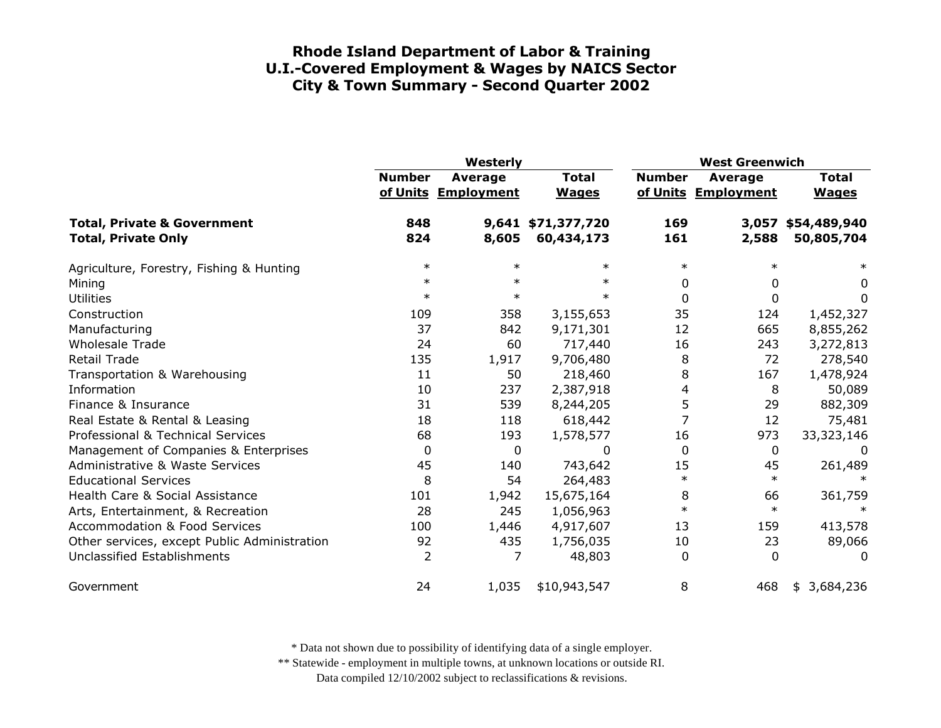|                                                                      | Westerly      |                                       |                                  | <b>West Greenwich</b> |                                       |                                  |
|----------------------------------------------------------------------|---------------|---------------------------------------|----------------------------------|-----------------------|---------------------------------------|----------------------------------|
|                                                                      | <b>Number</b> | <b>Average</b><br>of Units Employment | <b>Total</b><br><b>Wages</b>     | <b>Number</b>         | <b>Average</b><br>of Units Employment | <b>Total</b><br><b>Wages</b>     |
| <b>Total, Private &amp; Government</b><br><b>Total, Private Only</b> | 848<br>824    | 8,605                                 | 9,641 \$71,377,720<br>60,434,173 | 169<br>161            | 2,588                                 | 3,057 \$54,489,940<br>50,805,704 |
| Agriculture, Forestry, Fishing & Hunting                             | $\ast$        | $\ast$                                | $\ast$                           | $\ast$                |                                       | $\ast$                           |
| Mining                                                               | $\ast$        | $\ast$                                | $\ast$                           | 0                     | 0                                     | 0                                |
| <b>Utilities</b>                                                     | $\ast$        | $\ast$                                | $\ast$                           | 0                     | $\Omega$                              | 0                                |
| Construction                                                         | 109           | 358                                   | 3,155,653                        | 35                    | 124                                   | 1,452,327                        |
| Manufacturing                                                        | 37            | 842                                   | 9,171,301                        | 12                    | 665                                   | 8,855,262                        |
| <b>Wholesale Trade</b>                                               | 24            | 60                                    | 717,440                          | 16                    | 243                                   | 3,272,813                        |
| <b>Retail Trade</b>                                                  | 135           | 1,917                                 | 9,706,480                        | 8                     | 72                                    | 278,540                          |
| Transportation & Warehousing                                         | 11            | 50                                    | 218,460                          | 8                     | 167                                   | 1,478,924                        |
| Information                                                          | 10            | 237                                   | 2,387,918                        | 4                     | 8                                     | 50,089                           |
| Finance & Insurance                                                  | 31            | 539                                   | 8,244,205                        | 5                     | 29                                    | 882,309                          |
| Real Estate & Rental & Leasing                                       | 18            | 118                                   | 618,442                          | 7                     | 12                                    | 75,481                           |
| Professional & Technical Services                                    | 68            | 193                                   | 1,578,577                        | 16                    | 973                                   | 33,323,146                       |
| Management of Companies & Enterprises                                | 0             | 0                                     | 0                                | 0                     | $\mathbf 0$                           | 0                                |
| <b>Administrative &amp; Waste Services</b>                           | 45            | 140                                   | 743,642                          | 15                    | 45                                    | 261,489                          |
| <b>Educational Services</b>                                          | 8             | 54                                    | 264,483                          | $\ast$                | $\ast$                                |                                  |
| Health Care & Social Assistance                                      | 101           | 1,942                                 | 15,675,164                       | 8                     | 66                                    | 361,759                          |
| Arts, Entertainment, & Recreation                                    | 28            | 245                                   | 1,056,963                        | $\ast$                | $\ast$                                | $\ast$                           |
| <b>Accommodation &amp; Food Services</b>                             | 100           | 1,446                                 | 4,917,607                        | 13                    | 159                                   | 413,578                          |
| Other services, except Public Administration                         | 92            | 435                                   | 1,756,035                        | 10                    | 23                                    | 89,066                           |
| Unclassified Establishments                                          | 2             |                                       | 48,803                           | 0                     | $\Omega$                              | $\Omega$                         |
| Government                                                           | 24            | 1,035                                 | \$10,943,547                     | 8                     | 468                                   | 3,684,236<br>\$                  |

\* Data not shown due to possibility of identifying data of a single employer.

\*\* Statewide - employment in multiple towns, at unknown locations or outside RI.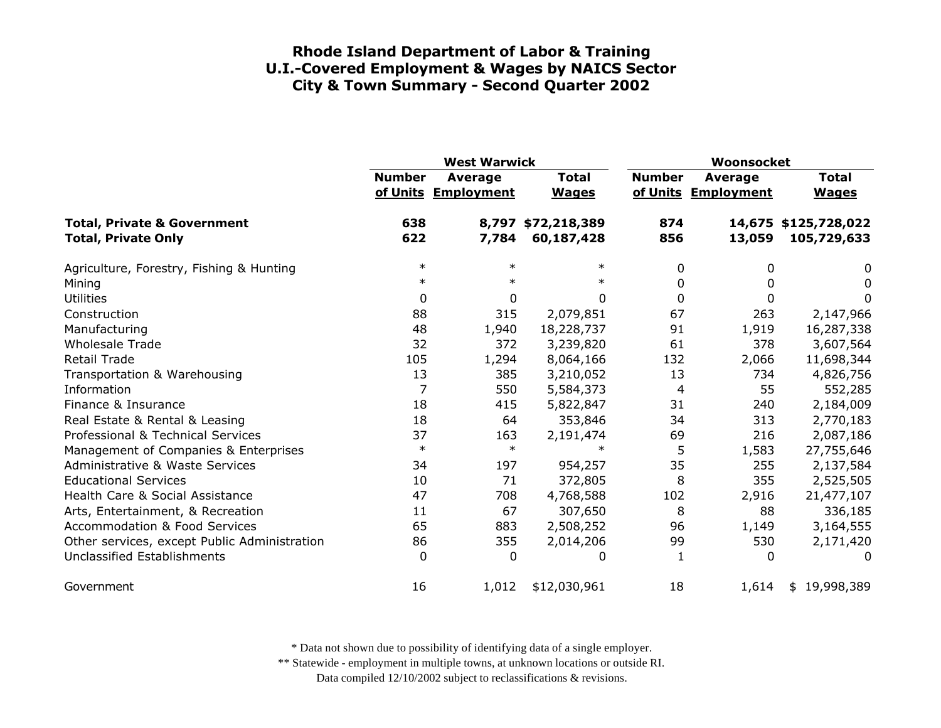|                                                                      | <b>West Warwick</b> |                                |                              | Woonsocket    |                                       |                                     |
|----------------------------------------------------------------------|---------------------|--------------------------------|------------------------------|---------------|---------------------------------------|-------------------------------------|
|                                                                      | <b>Number</b>       | Average<br>of Units Employment | <b>Total</b><br><b>Wages</b> | <b>Number</b> | <b>Average</b><br>of Units Employment | <b>Total</b><br><b>Wages</b>        |
| <b>Total, Private &amp; Government</b><br><b>Total, Private Only</b> | 638<br>622          | 8,797<br>7,784                 | \$72,218,389<br>60,187,428   | 874<br>856    | 13,059                                | 14,675 \$125,728,022<br>105,729,633 |
| Agriculture, Forestry, Fishing & Hunting                             | $\ast$              | $\ast$                         | $\ast$                       | 0             | 0                                     | 0                                   |
| Mining                                                               | $\ast$              | $\ast$                         | $\ast$                       | 0             | <sup>0</sup>                          | 0                                   |
| <b>Utilities</b>                                                     | 0                   | 0                              | 0                            | $\mathbf{0}$  | 0                                     | 0                                   |
| Construction                                                         | 88                  | 315                            | 2,079,851                    | 67            | 263                                   | 2,147,966                           |
| Manufacturing                                                        | 48                  | 1,940                          | 18,228,737                   | 91            | 1,919                                 | 16,287,338                          |
| <b>Wholesale Trade</b>                                               | 32                  | 372                            | 3,239,820                    | 61            | 378                                   | 3,607,564                           |
| <b>Retail Trade</b>                                                  | 105                 | 1,294                          | 8,064,166                    | 132           | 2,066                                 | 11,698,344                          |
| Transportation & Warehousing                                         | 13                  | 385                            | 3,210,052                    | 13            | 734                                   | 4,826,756                           |
| Information                                                          | 7                   | 550                            | 5,584,373                    | 4             | 55                                    | 552,285                             |
| Finance & Insurance                                                  | 18                  | 415                            | 5,822,847                    | 31            | 240                                   | 2,184,009                           |
| Real Estate & Rental & Leasing                                       | 18                  | 64                             | 353,846                      | 34            | 313                                   | 2,770,183                           |
| Professional & Technical Services                                    | 37                  | 163                            | 2,191,474                    | 69            | 216                                   | 2,087,186                           |
| Management of Companies & Enterprises                                | $\ast$              | $\ast$                         | $\ast$                       | 5             | 1,583                                 | 27,755,646                          |
| Administrative & Waste Services                                      | 34                  | 197                            | 954,257                      | 35            | 255                                   | 2,137,584                           |
| <b>Educational Services</b>                                          | 10                  | 71                             | 372,805                      | 8             | 355                                   | 2,525,505                           |
| Health Care & Social Assistance                                      | 47                  | 708                            | 4,768,588                    | 102           | 2,916                                 | 21,477,107                          |
| Arts, Entertainment, & Recreation                                    | 11                  | 67                             | 307,650                      | 8             | 88                                    | 336,185                             |
| <b>Accommodation &amp; Food Services</b>                             | 65                  | 883                            | 2,508,252                    | 96            | 1,149                                 | 3,164,555                           |
| Other services, except Public Administration                         | 86                  | 355                            | 2,014,206                    | 99            | 530                                   | 2,171,420                           |
| Unclassified Establishments                                          | 0                   | $\Omega$                       | 0                            | 1             | 0                                     | 0                                   |
| Government                                                           | 16                  | 1,012                          | \$12,030,961                 | 18            | 1,614                                 | \$19,998,389                        |

\* Data not shown due to possibility of identifying data of a single employer.

\*\* Statewide - employment in multiple towns, at unknown locations or outside RI.